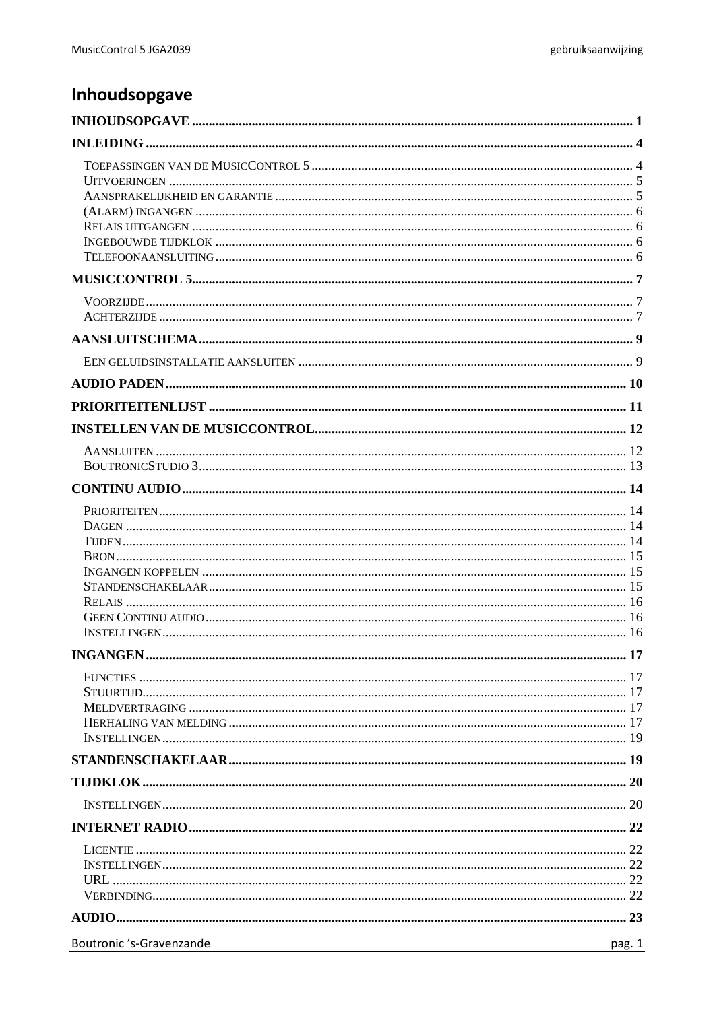# <span id="page-0-0"></span>Inhoudsopgave

| Boutronic 's-Gravenzande<br>pag. 1 |  |
|------------------------------------|--|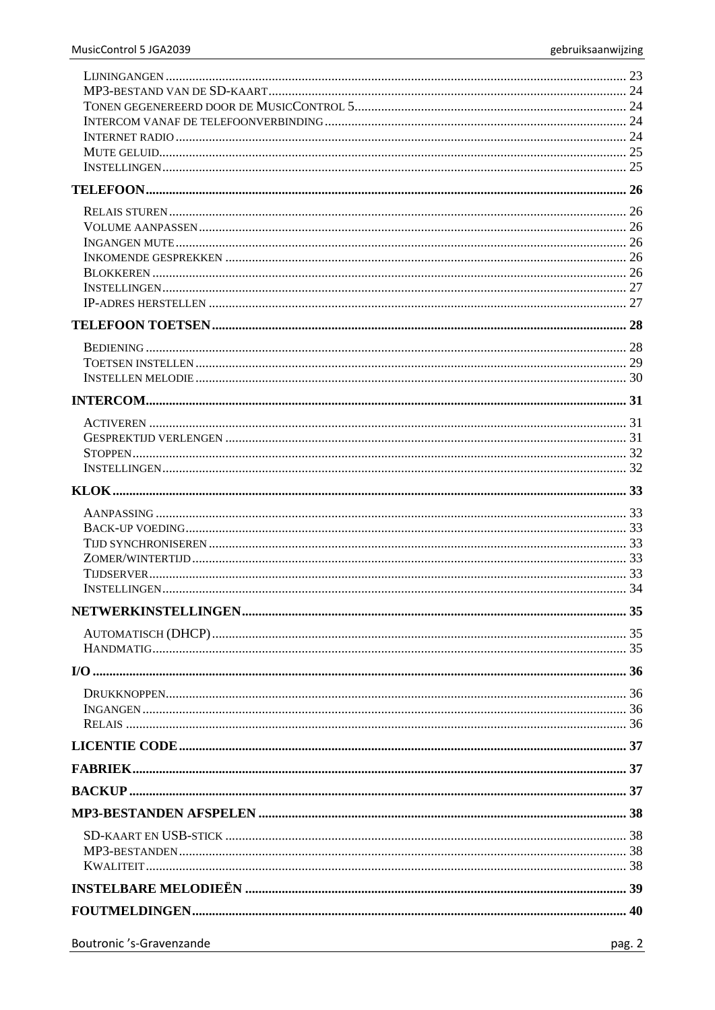| Boutronic 's-Gravenzande | pag. 2 |
|--------------------------|--------|
|                          |        |
|                          |        |
|                          |        |
|                          |        |
|                          |        |
|                          |        |
|                          |        |
|                          |        |
|                          |        |
|                          |        |
|                          |        |
|                          |        |
|                          |        |
|                          |        |
|                          |        |
|                          |        |
|                          |        |
|                          |        |
|                          |        |
|                          |        |
|                          |        |
|                          |        |
|                          |        |
|                          |        |
|                          |        |
|                          |        |
|                          |        |
|                          |        |
|                          |        |
|                          |        |
|                          |        |
|                          |        |
|                          |        |
|                          |        |
|                          |        |
|                          |        |
|                          |        |
|                          |        |
|                          |        |
|                          |        |
|                          |        |
|                          |        |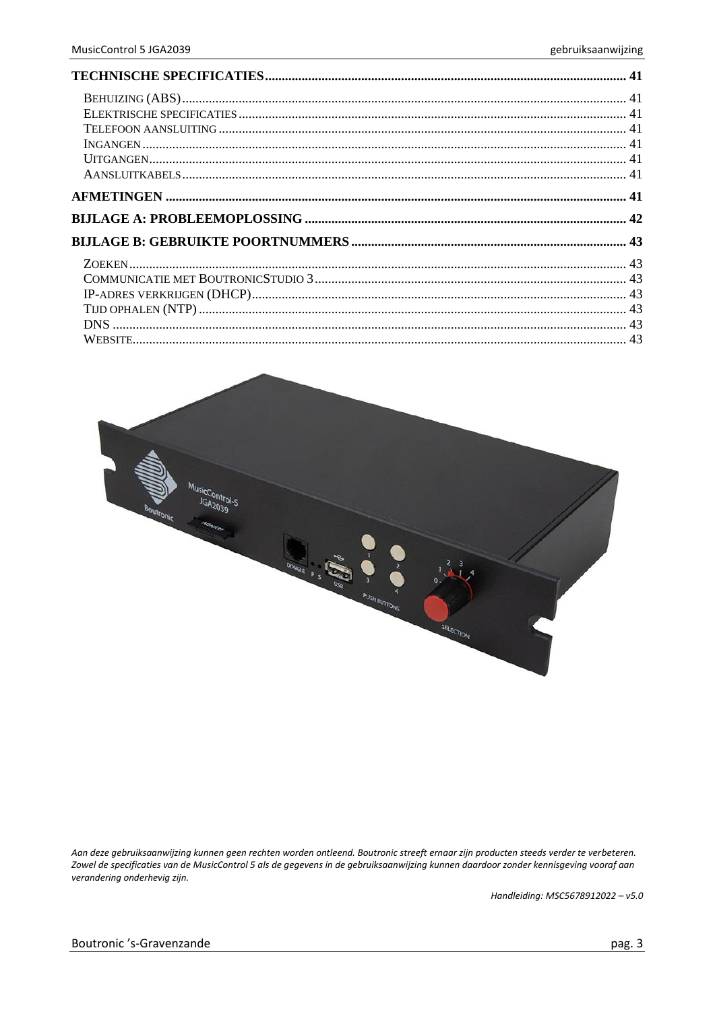

Aan deze gebruiksaanwijzing kunnen geen rechten worden ontleend. Boutronic streeft ernaar zijn producten steeds verder te verbeteren. Zowel de specificaties van de MusicControl 5 als de gegevens in de gebruiksaanwijzing kunnen daardoor zonder kennisgeving vooraf aan verandering onderhevig zijn.

Handleiding: MSC5678912022 - v5.0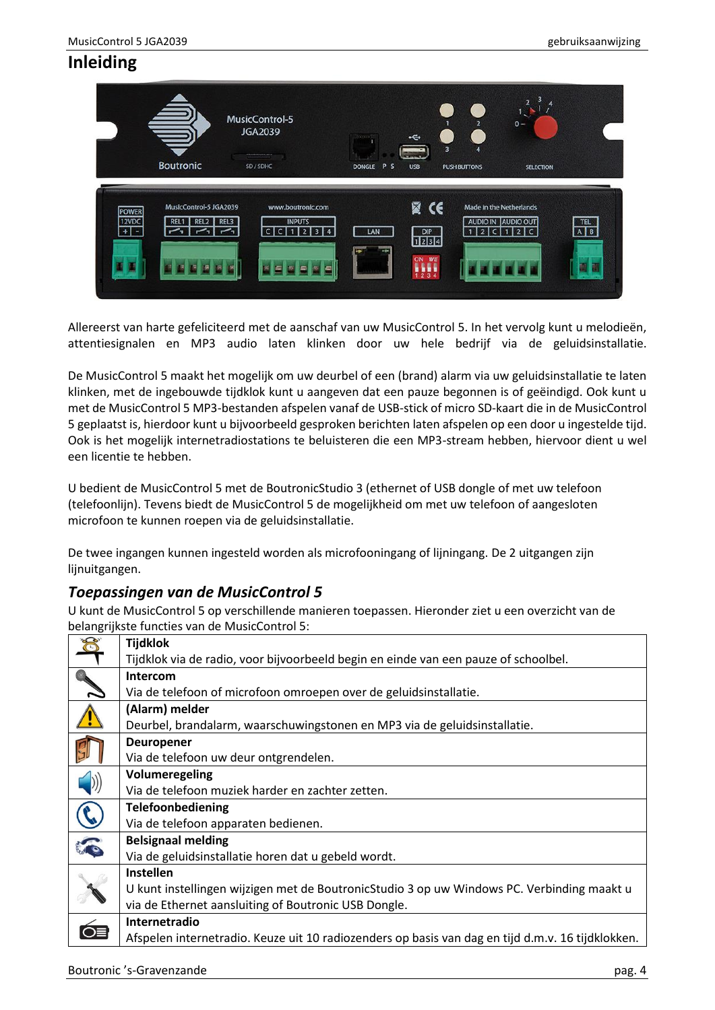# <span id="page-3-0"></span>**Inleiding**



Allereerst van harte gefeliciteerd met de aanschaf van uw MusicControl 5. In het vervolg kunt u melodieën, attentiesignalen en MP3 audio laten klinken door uw hele bedrijf via de geluidsinstallatie.

De MusicControl 5 maakt het mogelijk om uw deurbel of een (brand) alarm via uw geluidsinstallatie te laten klinken, met de ingebouwde tijdklok kunt u aangeven dat een pauze begonnen is of geëindigd. Ook kunt u met de MusicControl 5 MP3-bestanden afspelen vanaf de USB-stick of micro SD-kaart die in de MusicControl 5 geplaatst is, hierdoor kunt u bijvoorbeeld gesproken berichten laten afspelen op een door u ingestelde tijd. Ook is het mogelijk internetradiostations te beluisteren die een MP3-stream hebben, hiervoor dient u wel een licentie te hebben.

U bedient de MusicControl 5 met de BoutronicStudio 3 (ethernet of USB dongle of met uw telefoon (telefoonlijn). Tevens biedt de MusicControl 5 de mogelijkheid om met uw telefoon of aangesloten microfoon te kunnen roepen via de geluidsinstallatie.

De twee ingangen kunnen ingesteld worden als microfooningang of lijningang. De 2 uitgangen zijn lijnuitgangen.

### <span id="page-3-1"></span>*Toepassingen van de MusicControl 5*

U kunt de MusicControl 5 op verschillende manieren toepassen. Hieronder ziet u een overzicht van de belangrijkste functies van de MusicControl 5:

|   | <b>Tijdklok</b>                                                                                   |
|---|---------------------------------------------------------------------------------------------------|
|   | Tijdklok via de radio, voor bijvoorbeeld begin en einde van een pauze of schoolbel.               |
|   | Intercom                                                                                          |
|   | Via de telefoon of microfoon omroepen over de geluidsinstallatie.                                 |
|   | (Alarm) melder                                                                                    |
|   | Deurbel, brandalarm, waarschuwingstonen en MP3 via de geluidsinstallatie.                         |
|   | <b>Deuropener</b>                                                                                 |
|   | Via de telefoon uw deur ontgrendelen.                                                             |
|   | Volumeregeling                                                                                    |
|   | Via de telefoon muziek harder en zachter zetten.                                                  |
|   | Telefoonbediening                                                                                 |
|   | Via de telefoon apparaten bedienen.                                                               |
| F | <b>Belsignaal melding</b>                                                                         |
|   | Via de geluidsinstallatie horen dat u gebeld wordt.                                               |
|   | <b>Instellen</b>                                                                                  |
|   | U kunt instellingen wijzigen met de BoutronicStudio 3 op uw Windows PC. Verbinding maakt u        |
|   | via de Ethernet aansluiting of Boutronic USB Dongle.                                              |
|   | Internetradio                                                                                     |
|   | Afspelen internetradio. Keuze uit 10 radiozenders op basis van dag en tijd d.m.v. 16 tijdklokken. |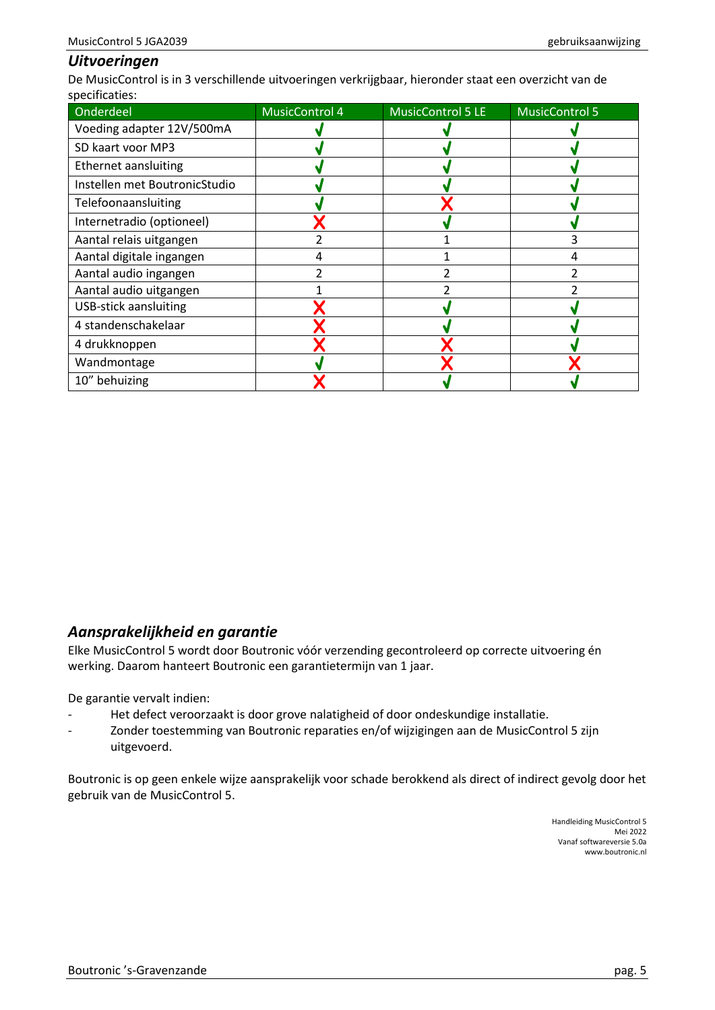#### <span id="page-4-0"></span>*Uitvoeringen*

De MusicControl is in 3 verschillende uitvoeringen verkrijgbaar, hieronder staat een overzicht van de specificaties:

| Onderdeel                     | <b>MusicControl 4</b> | <b>MusicControl 5 LE</b> | <b>MusicControl 5</b> |
|-------------------------------|-----------------------|--------------------------|-----------------------|
| Voeding adapter 12V/500mA     |                       |                          |                       |
| SD kaart voor MP3             |                       |                          |                       |
| Ethernet aansluiting          |                       |                          |                       |
| Instellen met BoutronicStudio |                       |                          |                       |
| Telefoonaansluiting           |                       |                          |                       |
| Internetradio (optioneel)     |                       |                          |                       |
| Aantal relais uitgangen       |                       |                          |                       |
| Aantal digitale ingangen      | 4                     |                          | 4                     |
| Aantal audio ingangen         |                       |                          |                       |
| Aantal audio uitgangen        |                       |                          |                       |
| <b>USB-stick aansluiting</b>  |                       |                          |                       |
| 4 standenschakelaar           |                       |                          |                       |
| 4 drukknoppen                 |                       |                          |                       |
| Wandmontage                   |                       |                          |                       |
| 10" behuizing                 |                       |                          |                       |

### <span id="page-4-1"></span>*Aansprakelijkheid en garantie*

Elke MusicControl 5 wordt door Boutronic vóór verzending gecontroleerd op correcte uitvoering én werking. Daarom hanteert Boutronic een garantietermijn van 1 jaar.

De garantie vervalt indien:

- Het defect veroorzaakt is door grove nalatigheid of door ondeskundige installatie.
- Zonder toestemming van Boutronic reparaties en/of wijzigingen aan de MusicControl 5 zijn uitgevoerd.

Boutronic is op geen enkele wijze aansprakelijk voor schade berokkend als direct of indirect gevolg door het gebruik van de MusicControl 5.

> Handleiding MusicControl 5 Mei 2022 Vanaf softwareversie 5.0a www.boutronic.nl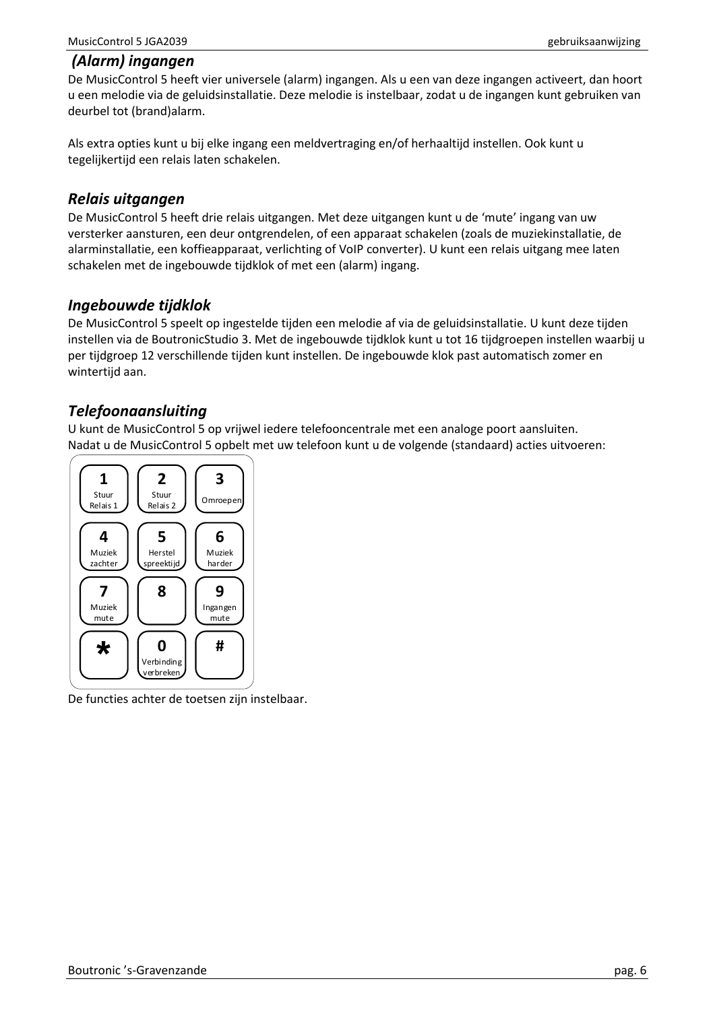#### <span id="page-5-0"></span>*(Alarm) ingangen*

De MusicControl 5 heeft vier universele (alarm) ingangen. Als u een van deze ingangen activeert, dan hoort u een melodie via de geluidsinstallatie. Deze melodie is instelbaar, zodat u de ingangen kunt gebruiken van deurbel tot (brand)alarm.

Als extra opties kunt u bij elke ingang een meldvertraging en/of herhaaltijd instellen. Ook kunt u tegelijkertijd een relais laten schakelen.

#### <span id="page-5-1"></span>*Relais uitgangen*

De MusicControl 5 heeft drie relais uitgangen. Met deze uitgangen kunt u de 'mute' ingang van uw versterker aansturen, een deur ontgrendelen, of een apparaat schakelen (zoals de muziekinstallatie, de alarminstallatie, een koffieapparaat, verlichting of VoIP converter). U kunt een relais uitgang mee laten schakelen met de ingebouwde tijdklok of met een (alarm) ingang.

### <span id="page-5-2"></span>*Ingebouwde tijdklok*

De MusicControl 5 speelt op ingestelde tijden een melodie af via de geluidsinstallatie. U kunt deze tijden instellen via de BoutronicStudio 3. Met de ingebouwde tijdklok kunt u tot 16 tijdgroepen instellen waarbij u per tijdgroep 12 verschillende tijden kunt instellen. De ingebouwde klok past automatisch zomer en wintertijd aan.

## <span id="page-5-3"></span>*Telefoonaansluiting*

U kunt de MusicControl 5 op vrijwel iedere telefooncentrale met een analoge poort aansluiten. Nadat u de MusicControl 5 opbelt met uw telefoon kunt u de volgende (standaard) acties uitvoeren:



De functies achter de toetsen zijn instelbaar.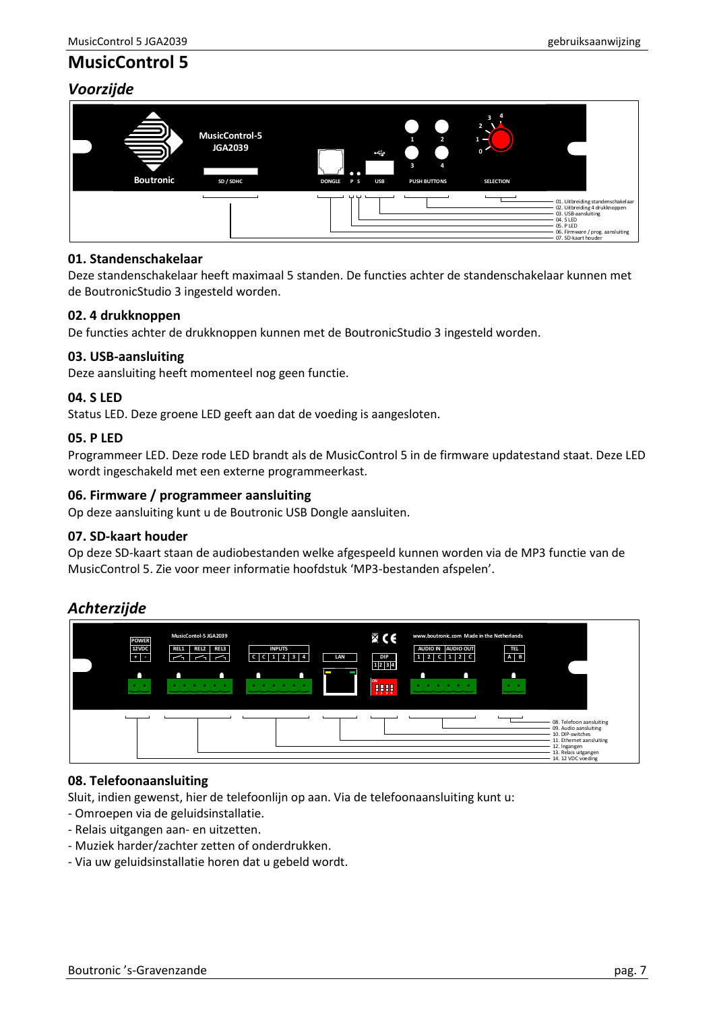# <span id="page-6-0"></span>**MusicControl 5**

## <span id="page-6-1"></span>*Voorzijde*



#### **01. Standenschakelaar**

Deze standenschakelaar heeft maximaal 5 standen. De functies achter de standenschakelaar kunnen met de BoutronicStudio 3 ingesteld worden.

#### **02. 4 drukknoppen**

De functies achter de drukknoppen kunnen met de BoutronicStudio 3 ingesteld worden.

#### **03. USB-aansluiting**

Deze aansluiting heeft momenteel nog geen functie.

#### **04. S LED**

Status LED. Deze groene LED geeft aan dat de voeding is aangesloten.

#### **05. P LED**

Programmeer LED. Deze rode LED brandt als de MusicControl 5 in de firmware updatestand staat. Deze LED wordt ingeschakeld met een externe programmeerkast.

#### **06. Firmware / programmeer aansluiting**

Op deze aansluiting kunt u de Boutronic USB Dongle aansluiten.

#### **07. SD-kaart houder**

Op deze SD-kaart staan de audiobestanden welke afgespeeld kunnen worden via de MP3 functie van de MusicControl 5. Zie voor meer informatie hoofdstuk 'MP3-bestanden afspelen'.

## <span id="page-6-2"></span>*Achterzijde*



#### **08. Telefoonaansluiting**

Sluit, indien gewenst, hier de telefoonlijn op aan. Via de telefoonaansluiting kunt u:

- Omroepen via de geluidsinstallatie.
- Relais uitgangen aan- en uitzetten.
- Muziek harder/zachter zetten of onderdrukken.
- Via uw geluidsinstallatie horen dat u gebeld wordt.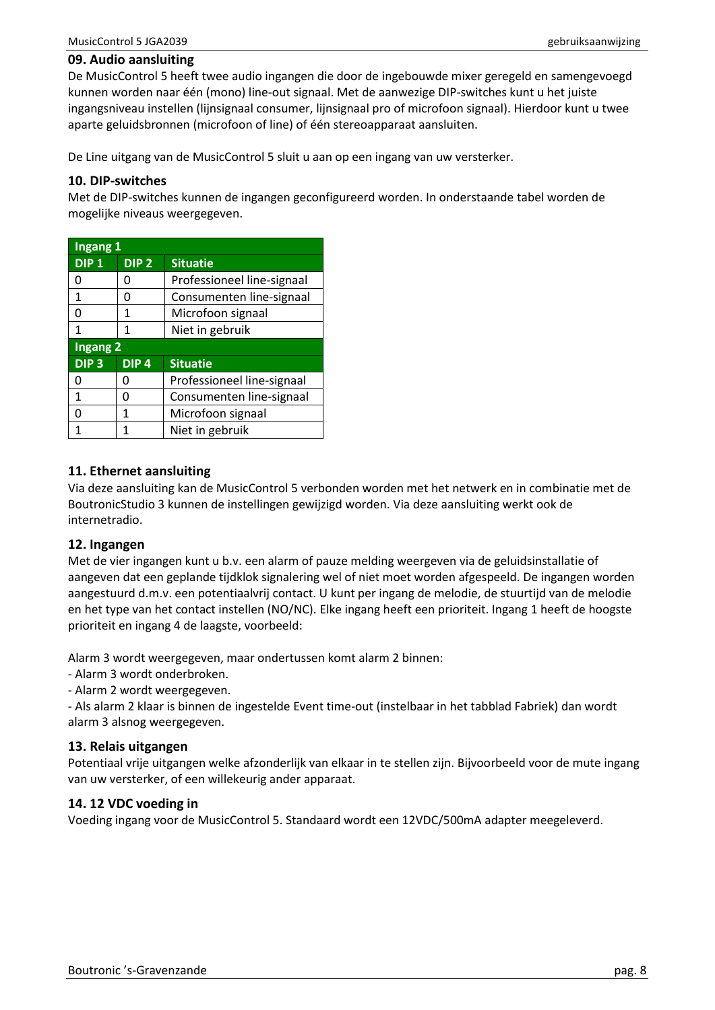#### **09. Audio aansluiting**

De MusicControl 5 heeft twee audio ingangen die door de ingebouwde mixer geregeld en samengevoegd kunnen worden naar één (mono) line-out signaal. Met de aanwezige DIP-switches kunt u het juiste ingangsniveau instellen (lijnsignaal consumer, lijnsignaal pro of microfoon signaal). Hierdoor kunt u twee aparte geluidsbronnen (microfoon of line) of één stereoapparaat aansluiten.

De Line uitgang van de MusicControl 5 sluit u aan op een ingang van uw versterker.

#### **10. DIP-switches**

Met de DIP-switches kunnen de ingangen geconfigureerd worden. In onderstaande tabel worden de mogelijke niveaus weergegeven.

| Ingang <sub>1</sub> |                                     |                            |  |
|---------------------|-------------------------------------|----------------------------|--|
| DIP <sub>1</sub>    | DIP <sub>2</sub><br><b>Situatie</b> |                            |  |
| n                   | O                                   | Professioneel line-signaal |  |
| 1                   | n                                   | Consumenten line-signaal   |  |
| ŋ                   | 1                                   | Microfoon signaal          |  |
| 1                   | 1                                   | Niet in gebruik            |  |
| <b>Ingang 2</b>     |                                     |                            |  |
| DIP <sub>3</sub>    | DIP <sub>4</sub>                    | <b>Situatie</b>            |  |
| U                   | U                                   | Professioneel line-signaal |  |
| 1                   | n                                   | Consumenten line-signaal   |  |
| O                   | 1                                   | Microfoon signaal          |  |
| 1                   | 1                                   | Niet in gebruik            |  |

#### **11. Ethernet aansluiting**

Via deze aansluiting kan de MusicControl 5 verbonden worden met het netwerk en in combinatie met de BoutronicStudio 3 kunnen de instellingen gewijzigd worden. Via deze aansluiting werkt ook de internetradio.

#### **12. Ingangen**

Met de vier ingangen kunt u b.v. een alarm of pauze melding weergeven via de geluidsinstallatie of aangeven dat een geplande tijdklok signalering wel of niet moet worden afgespeeld. De ingangen worden aangestuurd d.m.v. een potentiaalvrij contact. U kunt per ingang de melodie, de stuurtijd van de melodie en het type van het contact instellen (NO/NC). Elke ingang heeft een prioriteit. Ingang 1 heeft de hoogste prioriteit en ingang 4 de laagste, voorbeeld:

Alarm 3 wordt weergegeven, maar ondertussen komt alarm 2 binnen:

- Alarm 3 wordt onderbroken.
- Alarm 2 wordt weergegeven.

- Als alarm 2 klaar is binnen de ingestelde Event time-out (instelbaar in het tabblad Fabriek) dan wordt alarm 3 alsnog weergegeven.

#### **13. Relais uitgangen**

Potentiaal vrije uitgangen welke afzonderlijk van elkaar in te stellen zijn. Bijvoorbeeld voor de mute ingang van uw versterker, of een willekeurig ander apparaat.

#### **14. 12 VDC voeding in**

Voeding ingang voor de MusicControl 5. Standaard wordt een 12VDC/500mA adapter meegeleverd.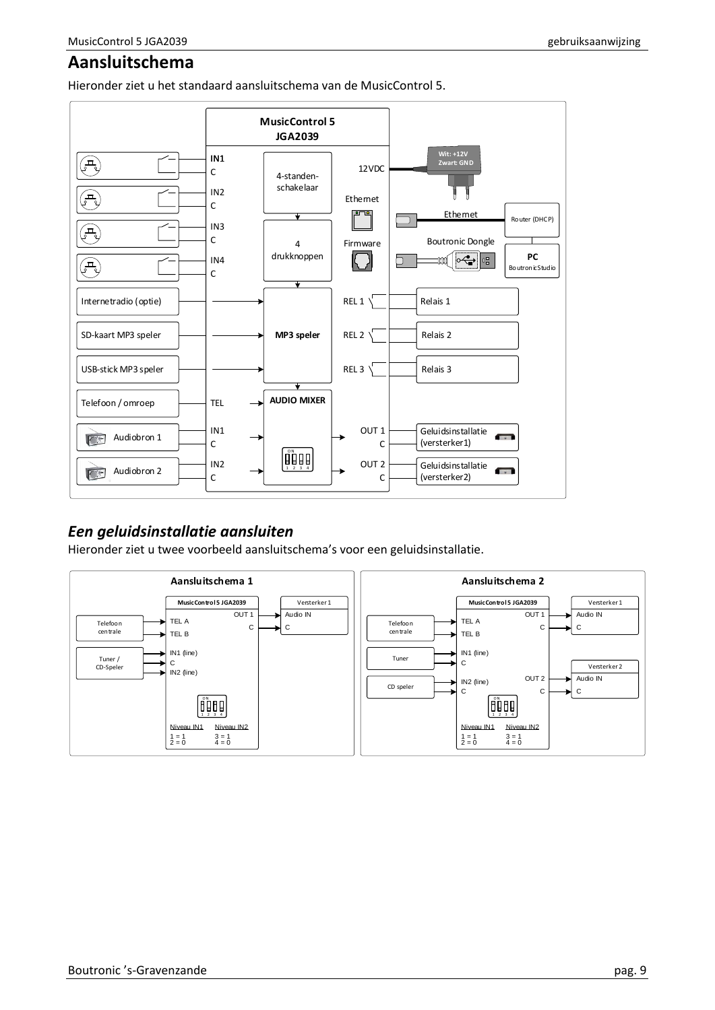# <span id="page-8-0"></span>**Aansluitschema**

Hieronder ziet u het standaard aansluitschema van de MusicControl 5.



## <span id="page-8-1"></span>*Een geluidsinstallatie aansluiten*

Hieronder ziet u twee voorbeeld aansluitschema's voor een geluidsinstallatie.

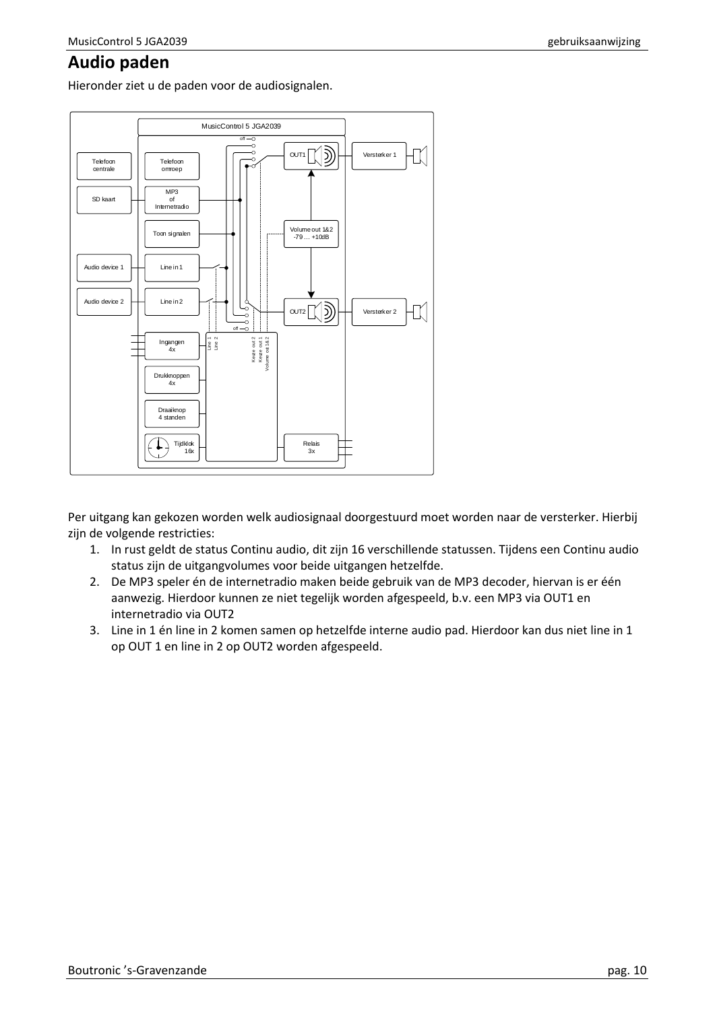## <span id="page-9-0"></span>**Audio paden**

Hieronder ziet u de paden voor de audiosignalen.



Per uitgang kan gekozen worden welk audiosignaal doorgestuurd moet worden naar de versterker. Hierbij zijn de volgende restricties:

- 1. In rust geldt de status Continu audio, dit zijn 16 verschillende statussen. Tijdens een Continu audio status zijn de uitgangvolumes voor beide uitgangen hetzelfde.
- 2. De MP3 speler én de internetradio maken beide gebruik van de MP3 decoder, hiervan is er één aanwezig. Hierdoor kunnen ze niet tegelijk worden afgespeeld, b.v. een MP3 via OUT1 en internetradio via OUT2
- 3. Line in 1 én line in 2 komen samen op hetzelfde interne audio pad. Hierdoor kan dus niet line in 1 op OUT 1 en line in 2 op OUT2 worden afgespeeld.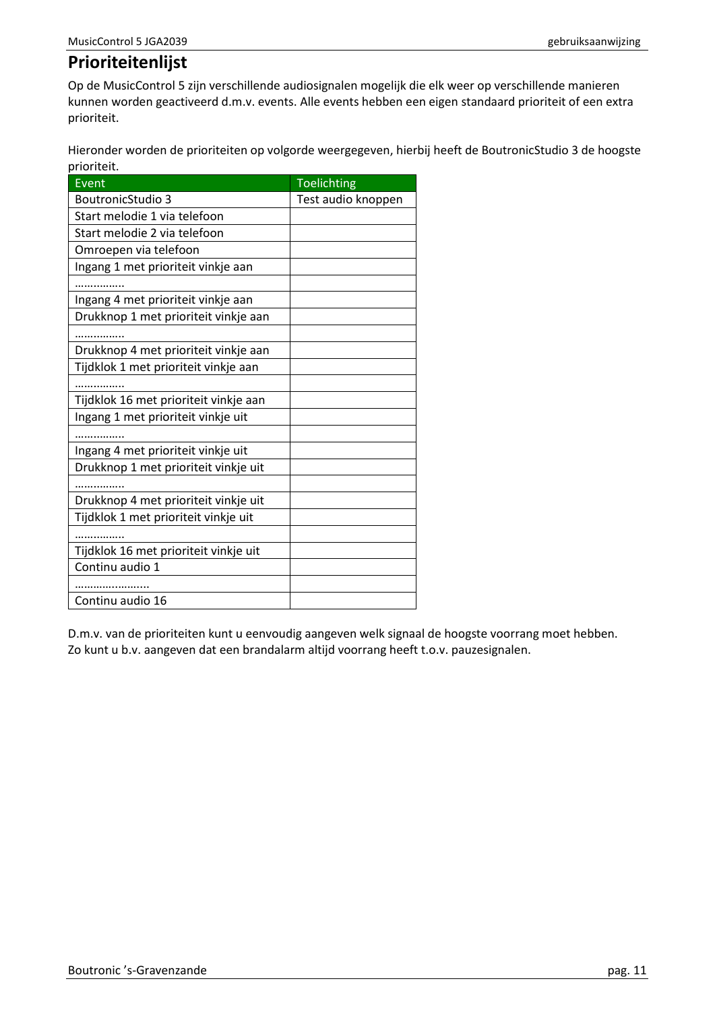# <span id="page-10-0"></span>**Prioriteitenlijst**

Op de MusicControl 5 zijn verschillende audiosignalen mogelijk die elk weer op verschillende manieren kunnen worden geactiveerd d.m.v. events. Alle events hebben een eigen standaard prioriteit of een extra prioriteit.

Hieronder worden de prioriteiten op volgorde weergegeven, hierbij heeft de BoutronicStudio 3 de hoogste prioriteit.

| Event                                 | <b>Toelichting</b> |
|---------------------------------------|--------------------|
| <b>BoutronicStudio 3</b>              | Test audio knoppen |
| Start melodie 1 via telefoon          |                    |
| Start melodie 2 via telefoon          |                    |
| Omroepen via telefoon                 |                    |
| Ingang 1 met prioriteit vinkje aan    |                    |
|                                       |                    |
| Ingang 4 met prioriteit vinkje aan    |                    |
| Drukknop 1 met prioriteit vinkje aan  |                    |
|                                       |                    |
| Drukknop 4 met prioriteit vinkje aan  |                    |
| Tijdklok 1 met prioriteit vinkje aan  |                    |
|                                       |                    |
| Tijdklok 16 met prioriteit vinkje aan |                    |
| Ingang 1 met prioriteit vinkje uit    |                    |
|                                       |                    |
| Ingang 4 met prioriteit vinkje uit    |                    |
| Drukknop 1 met prioriteit vinkje uit  |                    |
|                                       |                    |
| Drukknop 4 met prioriteit vinkje uit  |                    |
| Tijdklok 1 met prioriteit vinkje uit  |                    |
| . <b>.</b> .                          |                    |
| Tijdklok 16 met prioriteit vinkje uit |                    |
| Continu audio 1                       |                    |
|                                       |                    |
| Continu audio 16                      |                    |

D.m.v. van de prioriteiten kunt u eenvoudig aangeven welk signaal de hoogste voorrang moet hebben. Zo kunt u b.v. aangeven dat een brandalarm altijd voorrang heeft t.o.v. pauzesignalen.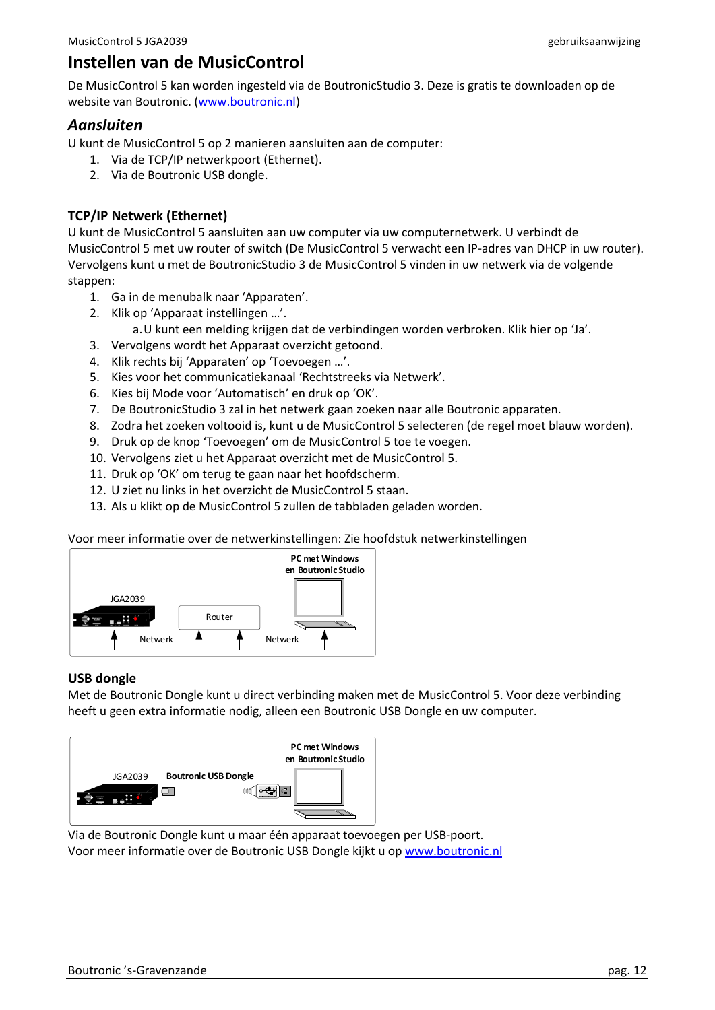# <span id="page-11-0"></span>**Instellen van de MusicControl**

De MusicControl 5 kan worden ingesteld via de BoutronicStudio 3. Deze is gratis te downloaden op de website van Boutronic. [\(www.boutronic.nl\)](http://www.boutronic.nl/)

#### <span id="page-11-1"></span>*Aansluiten*

U kunt de MusicControl 5 op 2 manieren aansluiten aan de computer:

- 1. Via de TCP/IP netwerkpoort (Ethernet).
- 2. Via de Boutronic USB dongle.

#### **TCP/IP Netwerk (Ethernet)**

U kunt de MusicControl 5 aansluiten aan uw computer via uw computernetwerk. U verbindt de MusicControl 5 met uw router of switch (De MusicControl 5 verwacht een IP-adres van DHCP in uw router). Vervolgens kunt u met de BoutronicStudio 3 de MusicControl 5 vinden in uw netwerk via de volgende stappen:

- 1. Ga in de menubalk naar 'Apparaten'.
- 2. Klik op 'Apparaat instellingen …'.
	- a.U kunt een melding krijgen dat de verbindingen worden verbroken. Klik hier op 'Ja'.
- 3. Vervolgens wordt het Apparaat overzicht getoond.
- 4. Klik rechts bij 'Apparaten' op 'Toevoegen …'.
- 5. Kies voor het communicatiekanaal 'Rechtstreeks via Netwerk'.
- 6. Kies bij Mode voor 'Automatisch' en druk op 'OK'.
- 7. De BoutronicStudio 3 zal in het netwerk gaan zoeken naar alle Boutronic apparaten.
- 8. Zodra het zoeken voltooid is, kunt u de MusicControl 5 selecteren (de regel moet blauw worden).
- 9. Druk op de knop 'Toevoegen' om de MusicControl 5 toe te voegen.
- 10. Vervolgens ziet u het Apparaat overzicht met de MusicControl 5.
- 11. Druk op 'OK' om terug te gaan naar het hoofdscherm.
- 12. U ziet nu links in het overzicht de MusicControl 5 staan.
- 13. Als u klikt op de MusicControl 5 zullen de tabbladen geladen worden.

Voor meer informatie over de netwerkinstellingen: Zie hoofdstuk netwerkinstellingen



#### **USB dongle**

Met de Boutronic Dongle kunt u direct verbinding maken met de MusicControl 5. Voor deze verbinding heeft u geen extra informatie nodig, alleen een Boutronic USB Dongle en uw computer.



Via de Boutronic Dongle kunt u maar één apparaat toevoegen per USB-poort. Voor meer informatie over de Boutronic USB Dongle kijkt u op [www.boutronic.nl](http://www.boutronic.nl/)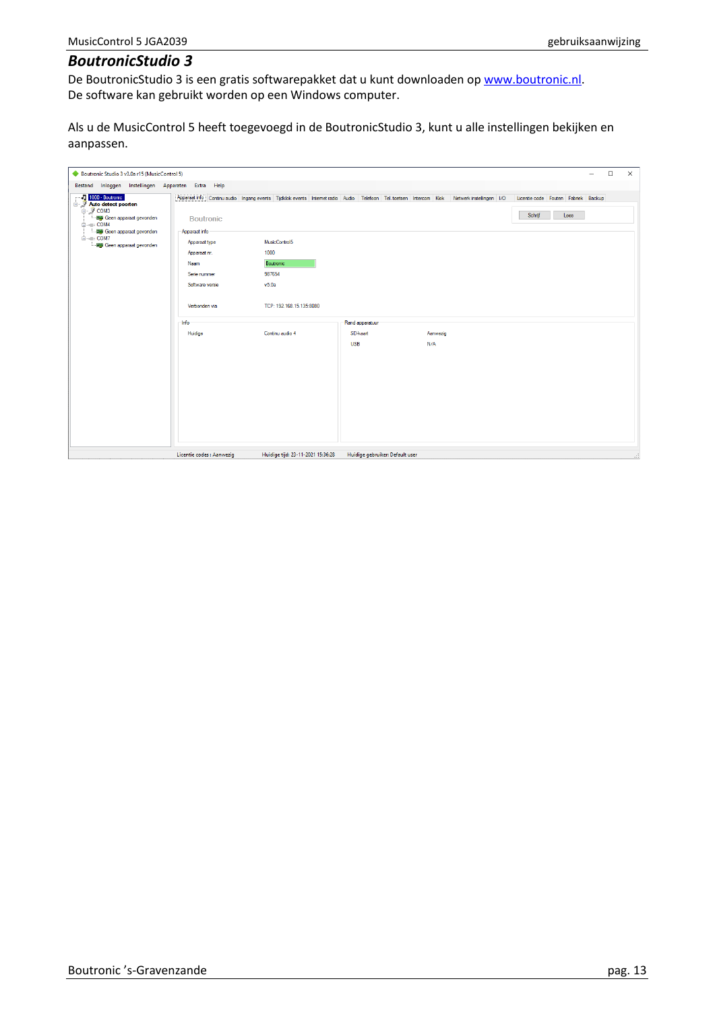### <span id="page-12-0"></span>*BoutronicStudio 3*

De BoutronicStudio 3 is een gratis softwarepakket dat u kunt downloaden op [www.boutronic.nl.](http://www.boutronic.nl/) De software kan gebruikt worden op een Windows computer.

Als u de MusicControl 5 heeft toegevoegd in de BoutronicStudio 3, kunt u alle instellingen bekijken en aanpassen.

| Boutronic Studio 3 v3.0a r15 (MusicControl 5)                                                                                                                                        |                                                                                                                                |                                                                                   |                                 |                 | $\Box$<br>$\times$                                                                                                                                                              |
|--------------------------------------------------------------------------------------------------------------------------------------------------------------------------------------|--------------------------------------------------------------------------------------------------------------------------------|-----------------------------------------------------------------------------------|---------------------------------|-----------------|---------------------------------------------------------------------------------------------------------------------------------------------------------------------------------|
| Bestand Inloggen Instellingen Apparaten Extra Help<br>1000 - Boutronic                                                                                                               |                                                                                                                                |                                                                                   |                                 |                 | Apparaat info Continu audio Ingang events Tijdklok events Internet radio Audio Telefoon Tel. toetsen Intercom Klok Netwerk instellingen I/O Licentie code Fouten Fabriek Backup |
| <b>Auto detect poorten</b><br>□ J COM3<br>- 图 Geen apparaat gevonden<br><b>E-</b> COM4<br><b>Hap</b> Geen apparaat gevonden<br><b>E</b> - B COM7<br><b>图象</b> Geen apparaat gevonden | <b>Boutronic</b><br>Apparaat info<br>Apparaat type<br>Apparaat nr.<br>Naam<br>Serie nummer<br>Software versie<br>Verbonden via | MusicControl5<br>1000<br>Boutronic<br>987654<br>v5.0a<br>TCP: 192.168.15.135:8080 |                                 |                 | Schrijf<br>Lees                                                                                                                                                                 |
|                                                                                                                                                                                      | Info                                                                                                                           |                                                                                   | Rand apparatuur                 |                 |                                                                                                                                                                                 |
|                                                                                                                                                                                      | Huidige                                                                                                                        | Continu audio 4                                                                   | SD-kaart<br><b>USB</b>          | Aanwezig<br>N/A |                                                                                                                                                                                 |
|                                                                                                                                                                                      | Licentie codes : Aanwezig                                                                                                      | Huidige tijd: 23-11-2021 15:36:28                                                 | Huidige gebruiker: Default user |                 |                                                                                                                                                                                 |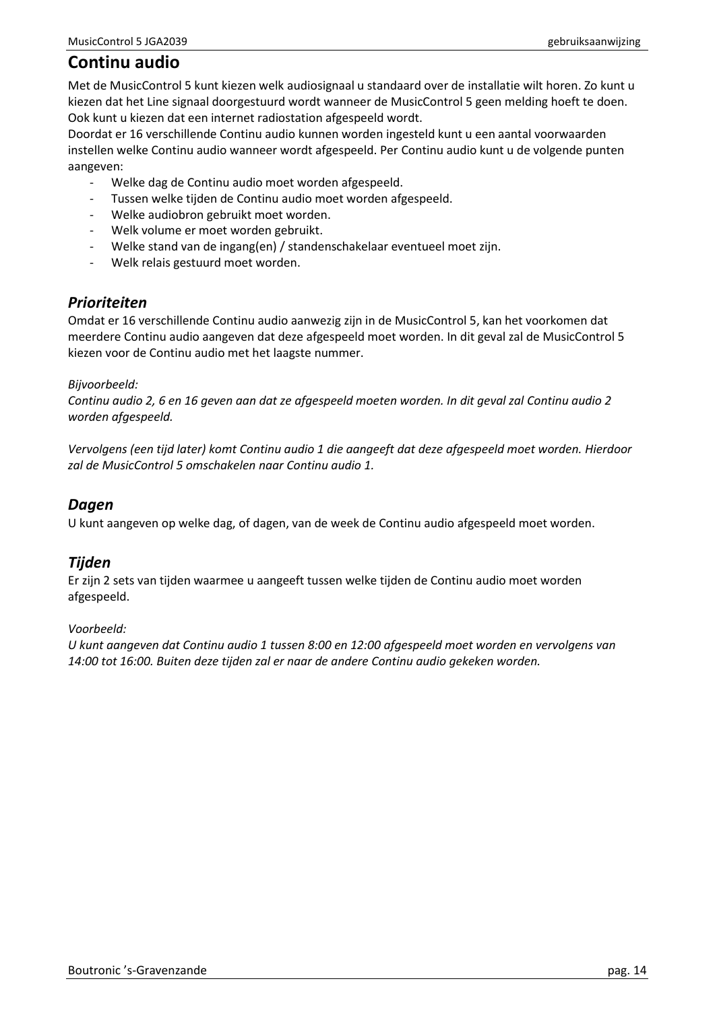# <span id="page-13-0"></span>**Continu audio**

Met de MusicControl 5 kunt kiezen welk audiosignaal u standaard over de installatie wilt horen. Zo kunt u kiezen dat het Line signaal doorgestuurd wordt wanneer de MusicControl 5 geen melding hoeft te doen. Ook kunt u kiezen dat een internet radiostation afgespeeld wordt.

Doordat er 16 verschillende Continu audio kunnen worden ingesteld kunt u een aantal voorwaarden instellen welke Continu audio wanneer wordt afgespeeld. Per Continu audio kunt u de volgende punten aangeven:

- Welke dag de Continu audio moet worden afgespeeld.
- Tussen welke tijden de Continu audio moet worden afgespeeld.
- Welke audiobron gebruikt moet worden.
- Welk volume er moet worden gebruikt.
- Welke stand van de ingang(en) / standenschakelaar eventueel moet zijn.
- Welk relais gestuurd moet worden.

### <span id="page-13-1"></span>*Prioriteiten*

Omdat er 16 verschillende Continu audio aanwezig zijn in de MusicControl 5, kan het voorkomen dat meerdere Continu audio aangeven dat deze afgespeeld moet worden. In dit geval zal de MusicControl 5 kiezen voor de Continu audio met het laagste nummer.

#### *Bijvoorbeeld:*

*Continu audio 2, 6 en 16 geven aan dat ze afgespeeld moeten worden. In dit geval zal Continu audio 2 worden afgespeeld.*

*Vervolgens (een tijd later) komt Continu audio 1 die aangeeft dat deze afgespeeld moet worden. Hierdoor zal de MusicControl 5 omschakelen naar Continu audio 1.*

### <span id="page-13-2"></span>*Dagen*

U kunt aangeven op welke dag, of dagen, van de week de Continu audio afgespeeld moet worden.

## <span id="page-13-3"></span>*Tijden*

Er zijn 2 sets van tijden waarmee u aangeeft tussen welke tijden de Continu audio moet worden afgespeeld.

#### *Voorbeeld:*

*U kunt aangeven dat Continu audio 1 tussen 8:00 en 12:00 afgespeeld moet worden en vervolgens van 14:00 tot 16:00. Buiten deze tijden zal er naar de andere Continu audio gekeken worden.*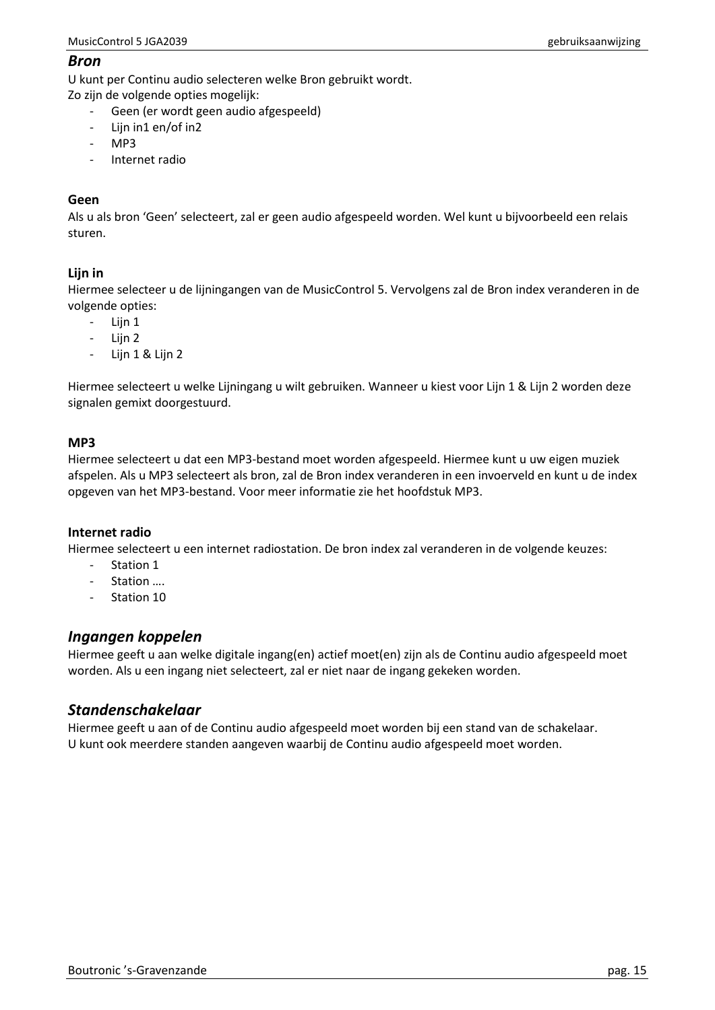#### <span id="page-14-0"></span>*Bron*

U kunt per Continu audio selecteren welke Bron gebruikt wordt.

Zo zijn de volgende opties mogelijk:

- Geen (er wordt geen audio afgespeeld)
- Lijn in1 en/of in2
- MP3
- Internet radio

#### **Geen**

Als u als bron 'Geen' selecteert, zal er geen audio afgespeeld worden. Wel kunt u bijvoorbeeld een relais sturen.

#### **Lijn in**

Hiermee selecteer u de lijningangen van de MusicControl 5. Vervolgens zal de Bron index veranderen in de volgende opties:

- Lijn 1
- Lijn 2
- Lijn 1 & Lijn 2

Hiermee selecteert u welke Lijningang u wilt gebruiken. Wanneer u kiest voor Lijn 1 & Lijn 2 worden deze signalen gemixt doorgestuurd.

#### **MP3**

Hiermee selecteert u dat een MP3-bestand moet worden afgespeeld. Hiermee kunt u uw eigen muziek afspelen. Als u MP3 selecteert als bron, zal de Bron index veranderen in een invoerveld en kunt u de index opgeven van het MP3-bestand. Voor meer informatie zie het hoofdstuk MP3.

#### **Internet radio**

Hiermee selecteert u een internet radiostation. De bron index zal veranderen in de volgende keuzes:

- Station 1
- Station ....
- Station 10

### <span id="page-14-1"></span>*Ingangen koppelen*

Hiermee geeft u aan welke digitale ingang(en) actief moet(en) zijn als de Continu audio afgespeeld moet worden. Als u een ingang niet selecteert, zal er niet naar de ingang gekeken worden.

### <span id="page-14-2"></span>*Standenschakelaar*

Hiermee geeft u aan of de Continu audio afgespeeld moet worden bij een stand van de schakelaar. U kunt ook meerdere standen aangeven waarbij de Continu audio afgespeeld moet worden.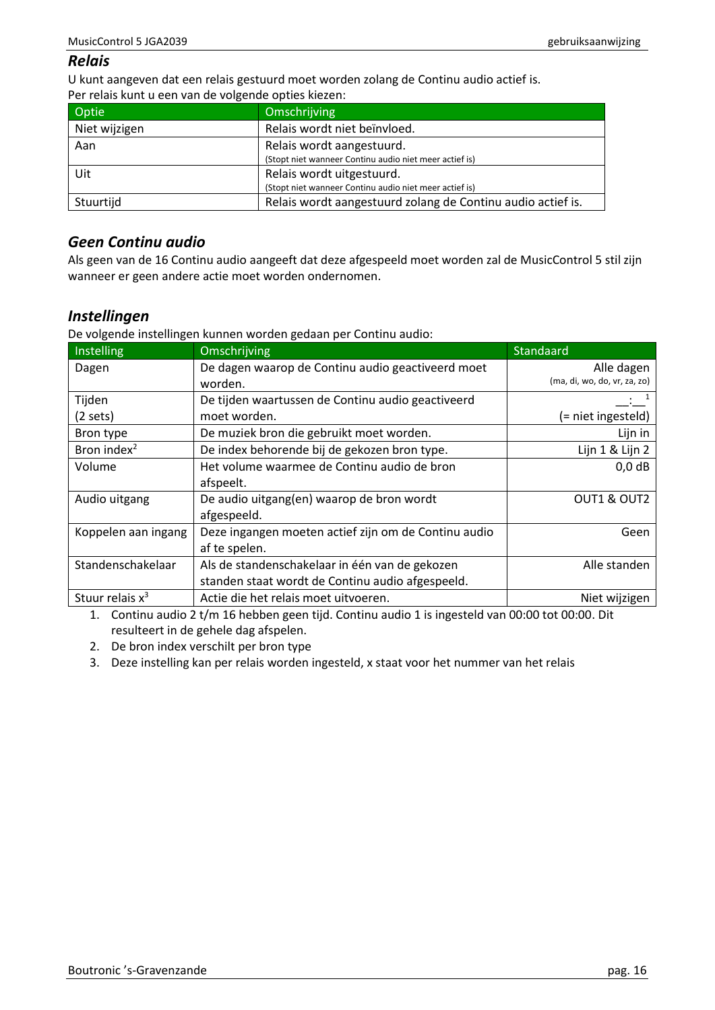## <span id="page-15-0"></span>*Relais*

U kunt aangeven dat een relais gestuurd moet worden zolang de Continu audio actief is. Per relais kunt u een van de volgende opties kiezen:

| Optie         | Omschrijving                                                |
|---------------|-------------------------------------------------------------|
| Niet wijzigen | Relais wordt niet beïnvloed.                                |
| Aan           | Relais wordt aangestuurd.                                   |
|               | (Stopt niet wanneer Continu audio niet meer actief is)      |
| Uit           | Relais wordt uitgestuurd.                                   |
|               | (Stopt niet wanneer Continu audio niet meer actief is)      |
| Stuurtijd     | Relais wordt aangestuurd zolang de Continu audio actief is. |

## <span id="page-15-1"></span>*Geen Continu audio*

Als geen van de 16 Continu audio aangeeft dat deze afgespeeld moet worden zal de MusicControl 5 stil zijn wanneer er geen andere actie moet worden ondernomen.

## <span id="page-15-2"></span>*Instellingen*

De volgende instellingen kunnen worden gedaan per Continu audio:

| Instelling              | Omschrijving                                         | Standaard                    |
|-------------------------|------------------------------------------------------|------------------------------|
| Dagen                   | De dagen waarop de Continu audio geactiveerd moet    | Alle dagen                   |
|                         | worden.                                              | (ma, di, wo, do, vr, za, zo) |
| Tijden                  | De tijden waartussen de Continu audio geactiveerd    |                              |
| (2 sets)                | moet worden.                                         | (= niet ingesteld)           |
| Bron type               | De muziek bron die gebruikt moet worden.             | Lijn in                      |
| Bron index <sup>2</sup> | De index behorende bij de gekozen bron type.         | Lijn 1 & Lijn 2              |
| Volume                  | Het volume waarmee de Continu audio de bron          | $0,0$ dB                     |
|                         | afspeelt.                                            |                              |
| Audio uitgang           | De audio uitgang(en) waarop de bron wordt            | OUT1 & OUT2                  |
|                         | afgespeeld.                                          |                              |
| Koppelen aan ingang     | Deze ingangen moeten actief zijn om de Continu audio | Geen                         |
|                         | af te spelen.                                        |                              |
| Standenschakelaar       | Als de standenschakelaar in één van de gekozen       | Alle standen                 |
|                         | standen staat wordt de Continu audio afgespeeld.     |                              |
| Stuur relais $x^3$      | Actie die het relais moet uitvoeren.                 | Niet wijzigen                |

1. Continu audio 2 t/m 16 hebben geen tijd. Continu audio 1 is ingesteld van 00:00 tot 00:00. Dit resulteert in de gehele dag afspelen.

2. De bron index verschilt per bron type

3. Deze instelling kan per relais worden ingesteld, x staat voor het nummer van het relais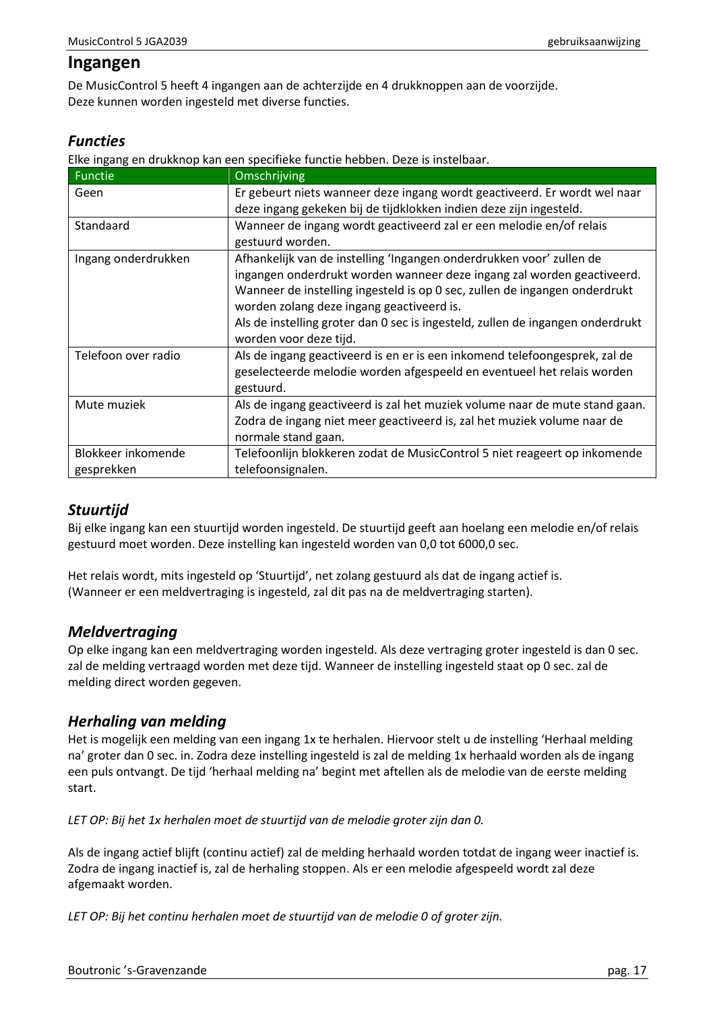## <span id="page-16-0"></span>**Ingangen**

De MusicControl 5 heeft 4 ingangen aan de achterzijde en 4 drukknoppen aan de voorzijde. Deze kunnen worden ingesteld met diverse functies.

## <span id="page-16-1"></span>*Functies*

Elke ingang en drukknop kan een specifieke functie hebben. Deze is instelbaar.

| <b>Functie</b>      | Omschrijving                                                                   |
|---------------------|--------------------------------------------------------------------------------|
| Geen                | Er gebeurt niets wanneer deze ingang wordt geactiveerd. Er wordt wel naar      |
|                     | deze ingang gekeken bij de tijdklokken indien deze zijn ingesteld.             |
| Standaard           | Wanneer de ingang wordt geactiveerd zal er een melodie en/of relais            |
|                     | gestuurd worden.                                                               |
| Ingang onderdrukken | Afhankelijk van de instelling 'Ingangen onderdrukken voor' zullen de           |
|                     | ingangen onderdrukt worden wanneer deze ingang zal worden geactiveerd.         |
|                     | Wanneer de instelling ingesteld is op 0 sec, zullen de ingangen onderdrukt     |
|                     | worden zolang deze ingang geactiveerd is.                                      |
|                     | Als de instelling groter dan 0 sec is ingesteld, zullen de ingangen onderdrukt |
|                     | worden voor deze tijd.                                                         |
| Telefoon over radio | Als de ingang geactiveerd is en er is een inkomend telefoongesprek, zal de     |
|                     | geselecteerde melodie worden afgespeeld en eventueel het relais worden         |
|                     | gestuurd.                                                                      |
| Mute muziek         | Als de ingang geactiveerd is zal het muziek volume naar de mute stand gaan.    |
|                     | Zodra de ingang niet meer geactiveerd is, zal het muziek volume naar de        |
|                     | normale stand gaan.                                                            |
| Blokkeer inkomende  | Telefoonlijn blokkeren zodat de MusicControl 5 niet reageert op inkomende      |
| gesprekken          | telefoonsignalen.                                                              |

## <span id="page-16-2"></span>*Stuurtijd*

Bij elke ingang kan een stuurtijd worden ingesteld. De stuurtijd geeft aan hoelang een melodie en/of relais gestuurd moet worden. Deze instelling kan ingesteld worden van 0,0 tot 6000,0 sec.

Het relais wordt, mits ingesteld op 'Stuurtijd', net zolang gestuurd als dat de ingang actief is. (Wanneer er een meldvertraging is ingesteld, zal dit pas na de meldvertraging starten).

## <span id="page-16-3"></span>*Meldvertraging*

Op elke ingang kan een meldvertraging worden ingesteld. Als deze vertraging groter ingesteld is dan 0 sec. zal de melding vertraagd worden met deze tijd. Wanneer de instelling ingesteld staat op 0 sec. zal de melding direct worden gegeven.

## <span id="page-16-4"></span>*Herhaling van melding*

Het is mogelijk een melding van een ingang 1x te herhalen. Hiervoor stelt u de instelling 'Herhaal melding na' groter dan 0 sec. in. Zodra deze instelling ingesteld is zal de melding 1x herhaald worden als de ingang een puls ontvangt. De tijd 'herhaal melding na' begint met aftellen als de melodie van de eerste melding start.

*LET OP: Bij het 1x herhalen moet de stuurtijd van de melodie groter zijn dan 0.*

Als de ingang actief blijft (continu actief) zal de melding herhaald worden totdat de ingang weer inactief is. Zodra de ingang inactief is, zal de herhaling stoppen. Als er een melodie afgespeeld wordt zal deze afgemaakt worden.

*LET OP: Bij het continu herhalen moet de stuurtijd van de melodie 0 of groter zijn.*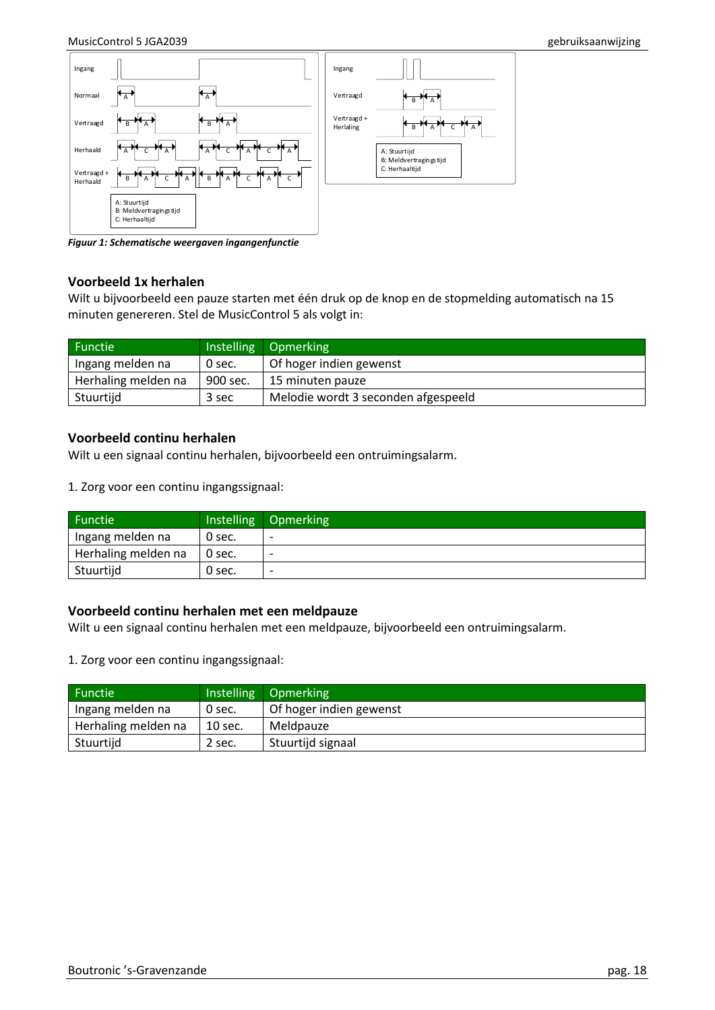

*Figuur 1: Schematische weergaven ingangenfunctie*

#### **Voorbeeld 1x herhalen**

Wilt u bijvoorbeeld een pauze starten met één druk op de knop en de stopmelding automatisch na 15 minuten genereren. Stel de MusicControl 5 als volgt in:

| Functie <sup>1</sup> |          | Instelling Opmerking                |
|----------------------|----------|-------------------------------------|
| Ingang melden na     | 0 sec.   | Of hoger indien gewenst             |
| Herhaling melden na  | 900 sec. | 15 minuten pauze                    |
| Stuurtijd            | 3 sec    | Melodie wordt 3 seconden afgespeeld |

#### **Voorbeeld continu herhalen**

Wilt u een signaal continu herhalen, bijvoorbeeld een ontruimingsalarm.

1. Zorg voor een continu ingangssignaal:

| Functie             |        | Instelling Opmerking     |
|---------------------|--------|--------------------------|
| Ingang melden na    | 0 sec. | $\overline{\phantom{0}}$ |
| Herhaling melden na | 0 sec. | $\overline{\phantom{a}}$ |
| Stuurtijd           | 0 sec. | $\overline{\phantom{0}}$ |

#### **Voorbeeld continu herhalen met een meldpauze**

Wilt u een signaal continu herhalen met een meldpauze, bijvoorbeeld een ontruimingsalarm.

1. Zorg voor een continu ingangssignaal:

| <b>Functie</b>      |         | Instelling Opmerking    |
|---------------------|---------|-------------------------|
| Ingang melden na    | 0 sec.  | Of hoger indien gewenst |
| Herhaling melden na | 10 sec. | Meldpauze               |
| Stuurtijd           | 2 sec.  | Stuurtijd signaal       |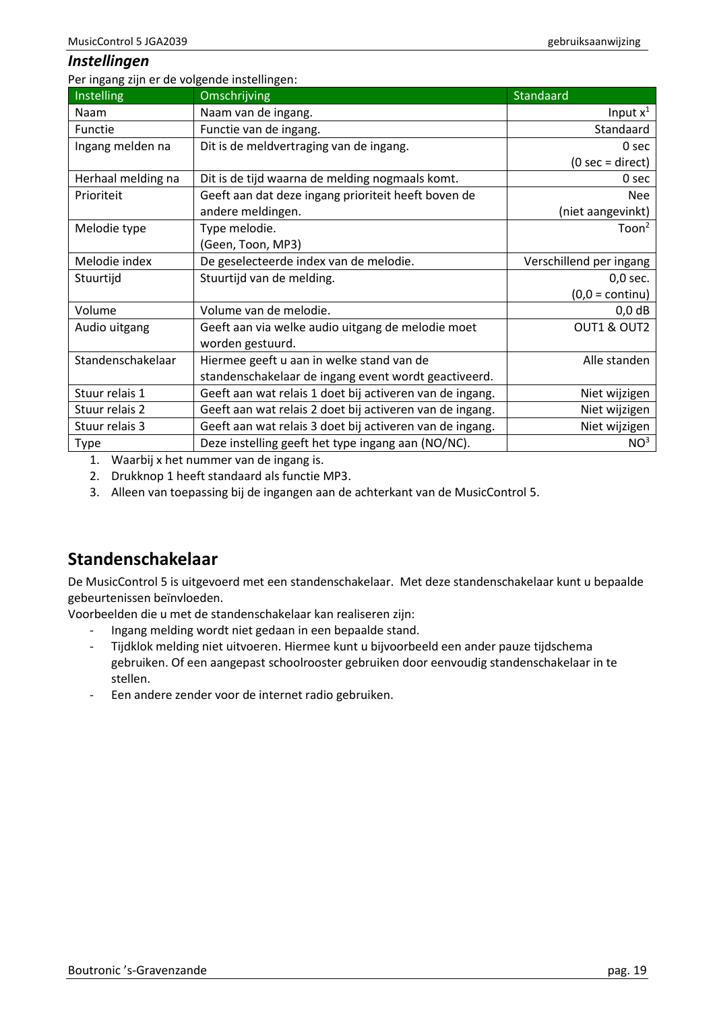#### <span id="page-18-0"></span>*Instellingen*

Per ingang zijn er de volgende instellingen:

| Instelling         | <b>Omschrijving</b>                                      | Standaard                         |
|--------------------|----------------------------------------------------------|-----------------------------------|
| Naam               | Naam van de ingang.                                      | Input $x^1$                       |
| Functie            | Functie van de ingang.                                   | Standaard                         |
| Ingang melden na   | Dit is de meldvertraging van de ingang.                  | 0 sec                             |
|                    |                                                          | $(0 \text{ sec} = \text{direct})$ |
| Herhaal melding na | Dit is de tijd waarna de melding nogmaals komt.          | 0 sec                             |
| Prioriteit         | Geeft aan dat deze ingang prioriteit heeft boven de      | <b>Nee</b>                        |
|                    | andere meldingen.                                        | (niet aangevinkt)                 |
| Melodie type       | Type melodie.                                            | Toon <sup>2</sup>                 |
|                    | (Geen, Toon, MP3)                                        |                                   |
| Melodie index      | De geselecteerde index van de melodie.                   | Verschillend per ingang           |
| Stuurtijd          | Stuurtijd van de melding.                                | $0,0$ sec.                        |
|                    |                                                          | $(0,0 = \text{continu})$          |
| Volume             | Volume van de melodie.                                   | $0,0$ dB                          |
| Audio uitgang      | Geeft aan via welke audio uitgang de melodie moet        | OUT1 & OUT2                       |
|                    | worden gestuurd.                                         |                                   |
| Standenschakelaar  | Hiermee geeft u aan in welke stand van de                | Alle standen                      |
|                    | standenschakelaar de ingang event wordt geactiveerd.     |                                   |
| Stuur relais 1     | Geeft aan wat relais 1 doet bij activeren van de ingang. | Niet wijzigen                     |
| Stuur relais 2     | Geeft aan wat relais 2 doet bij activeren van de ingang. | Niet wijzigen                     |
| Stuur relais 3     | Geeft aan wat relais 3 doet bij activeren van de ingang. | Niet wijzigen                     |
| Type               | Deze instelling geeft het type ingang aan (NO/NC).       | NO <sup>3</sup>                   |

1. Waarbij x het nummer van de ingang is.

2. Drukknop 1 heeft standaard als functie MP3.

3. Alleen van toepassing bij de ingangen aan de achterkant van de MusicControl 5.

# <span id="page-18-1"></span>**Standenschakelaar**

De MusicControl 5 is uitgevoerd met een standenschakelaar. Met deze standenschakelaar kunt u bepaalde gebeurtenissen beïnvloeden.

Voorbeelden die u met de standenschakelaar kan realiseren zijn:

- Ingang melding wordt niet gedaan in een bepaalde stand.
- Tijdklok melding niet uitvoeren. Hiermee kunt u bijvoorbeeld een ander pauze tijdschema gebruiken. Of een aangepast schoolrooster gebruiken door eenvoudig standenschakelaar in te stellen.
- Een andere zender voor de internet radio gebruiken.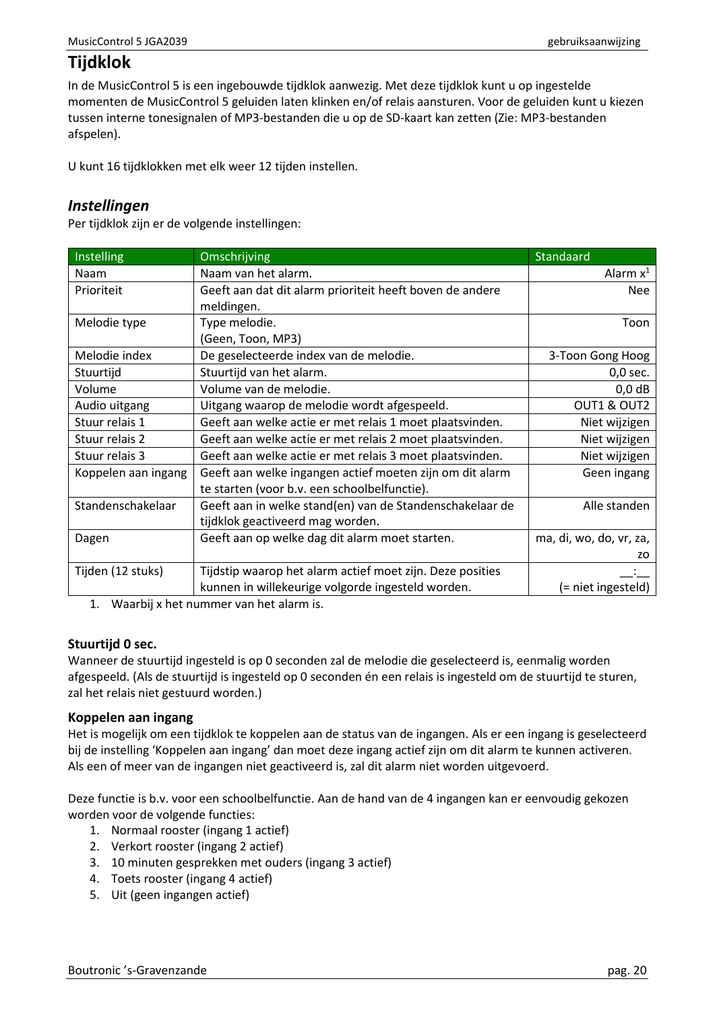# <span id="page-19-0"></span>**Tijdklok**

In de MusicControl 5 is een ingebouwde tijdklok aanwezig. Met deze tijdklok kunt u op ingestelde momenten de MusicControl 5 geluiden laten klinken en/of relais aansturen. Voor de geluiden kunt u kiezen tussen interne tonesignalen of MP3-bestanden die u op de SD-kaart kan zetten (Zie[: MP3-bestanden](#page-37-0)  [afspelen\)](#page-37-0).

U kunt 16 tijdklokken met elk weer 12 tijden instellen.

### <span id="page-19-1"></span>*Instellingen*

Per tijdklok zijn er de volgende instellingen:

| Instelling          | Omschrijving                                              | Standaard               |
|---------------------|-----------------------------------------------------------|-------------------------|
| Naam                | Naam van het alarm.                                       | Alarm $x^1$             |
| Prioriteit          | Geeft aan dat dit alarm prioriteit heeft boven de andere  | <b>Nee</b>              |
|                     | meldingen.                                                |                         |
| Melodie type        | Type melodie.                                             | Toon                    |
|                     | (Geen, Toon, MP3)                                         |                         |
| Melodie index       | De geselecteerde index van de melodie.                    | 3-Toon Gong Hoog        |
| Stuurtijd           | Stuurtijd van het alarm.                                  | $0,0$ sec.              |
| Volume              | Volume van de melodie.                                    | $0,0$ dB                |
| Audio uitgang       | Uitgang waarop de melodie wordt afgespeeld.               | OUT1 & OUT2             |
| Stuur relais 1      | Geeft aan welke actie er met relais 1 moet plaatsvinden.  | Niet wijzigen           |
| Stuur relais 2      | Geeft aan welke actie er met relais 2 moet plaatsvinden.  | Niet wijzigen           |
| Stuur relais 3      | Geeft aan welke actie er met relais 3 moet plaatsvinden.  | Niet wijzigen           |
| Koppelen aan ingang | Geeft aan welke ingangen actief moeten zijn om dit alarm  | Geen ingang             |
|                     | te starten (voor b.v. een schoolbelfunctie).              |                         |
| Standenschakelaar   | Geeft aan in welke stand(en) van de Standenschakelaar de  | Alle standen            |
|                     | tijdklok geactiveerd mag worden.                          |                         |
| Dagen               | Geeft aan op welke dag dit alarm moet starten.            | ma, di, wo, do, vr, za, |
|                     |                                                           | zo                      |
| Tijden (12 stuks)   | Tijdstip waarop het alarm actief moet zijn. Deze posities |                         |
|                     | kunnen in willekeurige volgorde ingesteld worden.         | (= niet ingesteld)      |

1. Waarbij x het nummer van het alarm is.

#### **Stuurtijd 0 sec.**

Wanneer de stuurtijd ingesteld is op 0 seconden zal de melodie die geselecteerd is, eenmalig worden afgespeeld. (Als de stuurtijd is ingesteld op 0 seconden én een relais is ingesteld om de stuurtijd te sturen, zal het relais niet gestuurd worden.)

#### **Koppelen aan ingang**

Het is mogelijk om een tijdklok te koppelen aan de status van de ingangen. Als er een ingang is geselecteerd bij de instelling 'Koppelen aan ingang' dan moet deze ingang actief zijn om dit alarm te kunnen activeren. Als een of meer van de ingangen niet geactiveerd is, zal dit alarm niet worden uitgevoerd.

Deze functie is b.v. voor een schoolbelfunctie. Aan de hand van de 4 ingangen kan er eenvoudig gekozen worden voor de volgende functies:

- 1. Normaal rooster (ingang 1 actief)
- 2. Verkort rooster (ingang 2 actief)
- 3. 10 minuten gesprekken met ouders (ingang 3 actief)
- 4. Toets rooster (ingang 4 actief)
- 5. Uit (geen ingangen actief)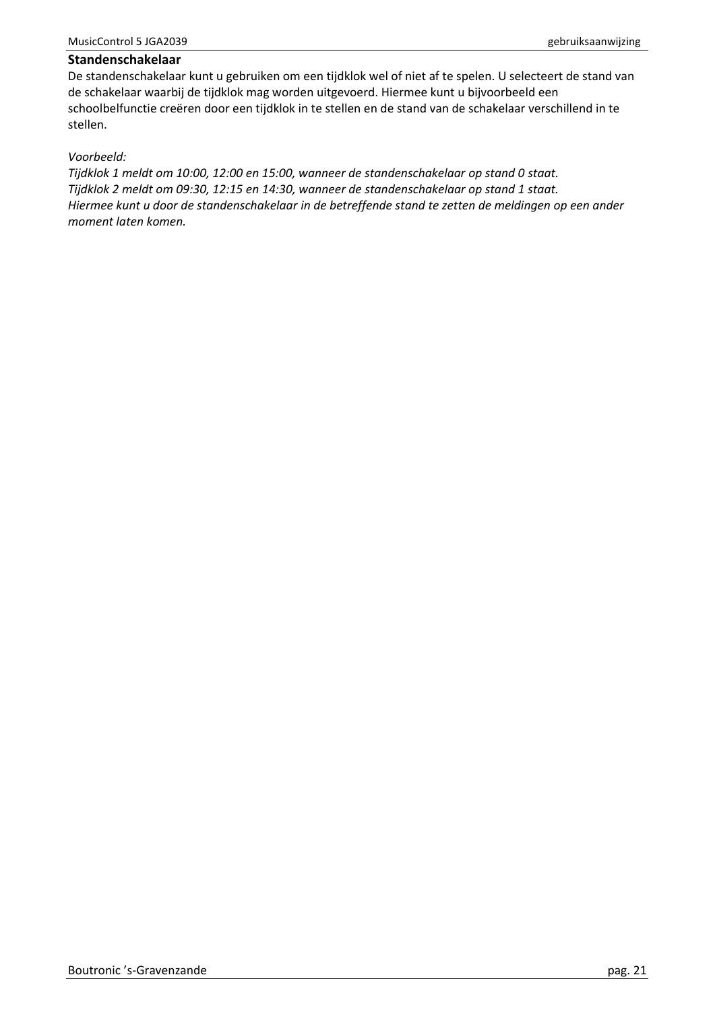#### **Standenschakelaar**

De standenschakelaar kunt u gebruiken om een tijdklok wel of niet af te spelen. U selecteert de stand van de schakelaar waarbij de tijdklok mag worden uitgevoerd. Hiermee kunt u bijvoorbeeld een schoolbelfunctie creëren door een tijdklok in te stellen en de stand van de schakelaar verschillend in te stellen.

#### *Voorbeeld:*

*Tijdklok 1 meldt om 10:00, 12:00 en 15:00, wanneer de standenschakelaar op stand 0 staat. Tijdklok 2 meldt om 09:30, 12:15 en 14:30, wanneer de standenschakelaar op stand 1 staat. Hiermee kunt u door de standenschakelaar in de betreffende stand te zetten de meldingen op een ander moment laten komen.*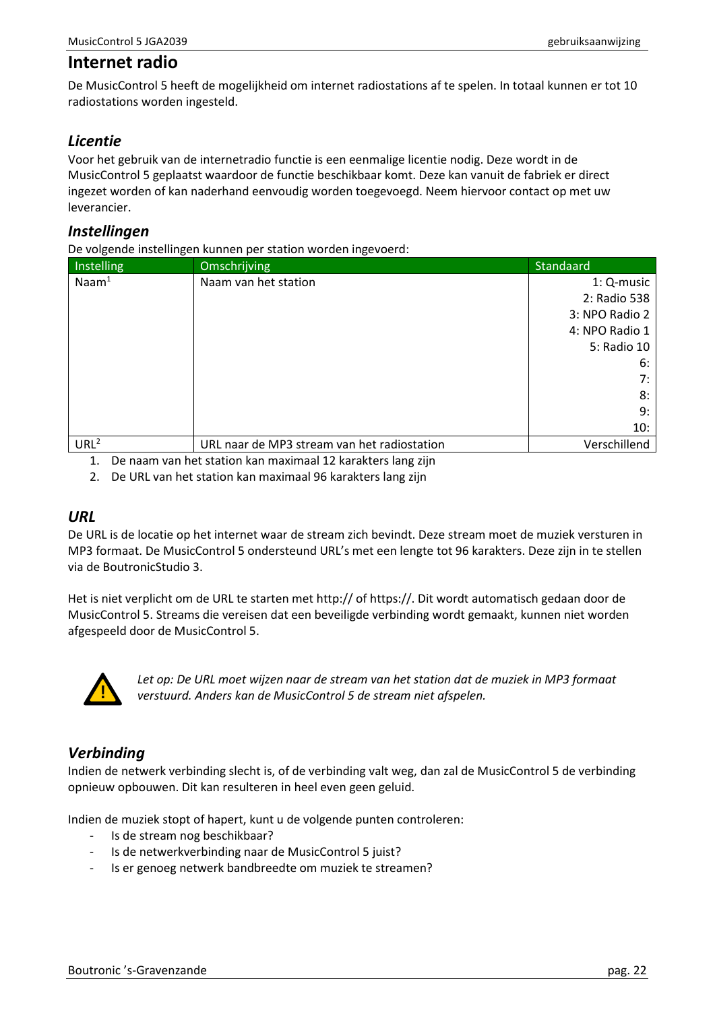## <span id="page-21-0"></span>**Internet radio**

De MusicControl 5 heeft de mogelijkheid om internet radiostations af te spelen. In totaal kunnen er tot 10 radiostations worden ingesteld.

## <span id="page-21-1"></span>*Licentie*

Voor het gebruik van de internetradio functie is een eenmalige licentie nodig. Deze wordt in de MusicControl 5 geplaatst waardoor de functie beschikbaar komt. Deze kan vanuit de fabriek er direct ingezet worden of kan naderhand eenvoudig worden toegevoegd. Neem hiervoor contact op met uw leverancier.

#### <span id="page-21-2"></span>*Instellingen*

De volgende instellingen kunnen per station worden ingevoerd:

| Instelling        | Omschrijving                                | Standaard      |
|-------------------|---------------------------------------------|----------------|
| $\textsf{Naam}^1$ | Naam van het station                        | 1: Q-music     |
|                   |                                             | 2: Radio 538   |
|                   |                                             | 3: NPO Radio 2 |
|                   |                                             | 4: NPO Radio 1 |
|                   |                                             | 5: Radio 10    |
|                   |                                             | 6:             |
|                   |                                             | 7:             |
|                   |                                             | 8:             |
|                   |                                             | 9:             |
|                   |                                             | 10:            |
| URL <sup>2</sup>  | URL naar de MP3 stream van het radiostation | Verschillend   |

1. De naam van het station kan maximaal 12 karakters lang zijn

2. De URL van het station kan maximaal 96 karakters lang zijn

#### <span id="page-21-3"></span>*URL*

De URL is de locatie op het internet waar de stream zich bevindt. Deze stream moet de muziek versturen in MP3 formaat. De MusicControl 5 ondersteund URL's met een lengte tot 96 karakters. Deze zijn in te stellen via de BoutronicStudio 3.

Het is niet verplicht om de URL te starten met http:// of https://. Dit wordt automatisch gedaan door de MusicControl 5. Streams die vereisen dat een beveiligde verbinding wordt gemaakt, kunnen niet worden afgespeeld door de MusicControl 5.



*Let op: De URL moet wijzen naar de stream van het station dat de muziek in MP3 formaat verstuurd. Anders kan de MusicControl 5 de stream niet afspelen.*

### <span id="page-21-4"></span>*Verbinding*

Indien de netwerk verbinding slecht is, of de verbinding valt weg, dan zal de MusicControl 5 de verbinding opnieuw opbouwen. Dit kan resulteren in heel even geen geluid.

Indien de muziek stopt of hapert, kunt u de volgende punten controleren:

- Is de stream nog beschikbaar?
- Is de netwerkverbinding naar de MusicControl 5 juist?
- Is er genoeg netwerk bandbreedte om muziek te streamen?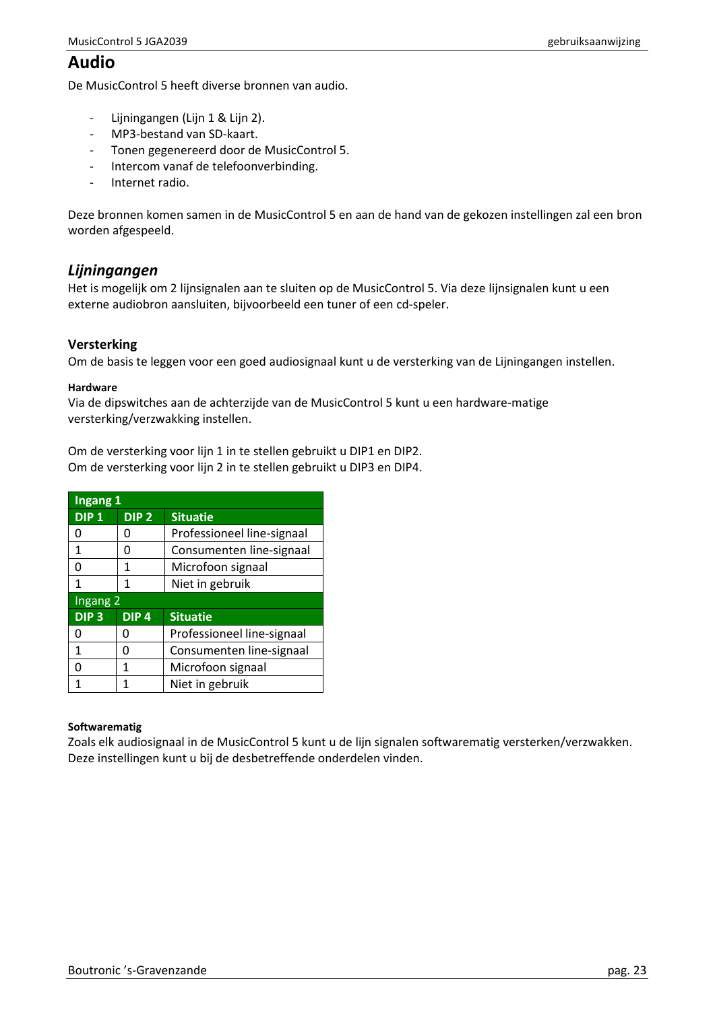# <span id="page-22-0"></span>**Audio**

De MusicControl 5 heeft diverse bronnen van audio.

- Lijningangen (Lijn 1 & Lijn 2).
- MP3-bestand van SD-kaart.
- Tonen gegenereerd door de MusicControl 5.
- Intercom vanaf de telefoonverbinding.
- Internet radio.

Deze bronnen komen samen in de MusicControl 5 en aan de hand van de gekozen instellingen zal een bron worden afgespeeld.

## <span id="page-22-1"></span>*Lijningangen*

Het is mogelijk om 2 lijnsignalen aan te sluiten op de MusicControl 5. Via deze lijnsignalen kunt u een externe audiobron aansluiten, bijvoorbeeld een tuner of een cd-speler.

#### **Versterking**

Om de basis te leggen voor een goed audiosignaal kunt u de versterking van de Lijningangen instellen.

#### **Hardware**

Via de dipswitches aan de achterzijde van de MusicControl 5 kunt u een hardware-matige versterking/verzwakking instellen.

Om de versterking voor lijn 1 in te stellen gebruikt u DIP1 en DIP2. Om de versterking voor lijn 2 in te stellen gebruikt u DIP3 en DIP4.

| Ingang 1         |                  |                            |  |
|------------------|------------------|----------------------------|--|
| DIP <sub>1</sub> | DIP <sub>2</sub> | <b>Situatie</b>            |  |
| ი                | O                | Professioneel line-signaal |  |
| 1                | O                | Consumenten line-signaal   |  |
| ŋ                | 1                | Microfoon signaal          |  |
| 1                | 1                | Niet in gebruik            |  |
|                  | Ingang 2         |                            |  |
| DIP <sub>3</sub> | DIP4             | <b>Situatie</b>            |  |
| O                | O                | Professioneel line-signaal |  |
| 1                | n                | Consumenten line-signaal   |  |
| O                | 1                | Microfoon signaal          |  |
| 1                | 1                | Niet in gebruik            |  |

#### **Softwarematig**

Zoals elk audiosignaal in de MusicControl 5 kunt u de lijn signalen softwarematig versterken/verzwakken. Deze instellingen kunt u bij de desbetreffende onderdelen vinden.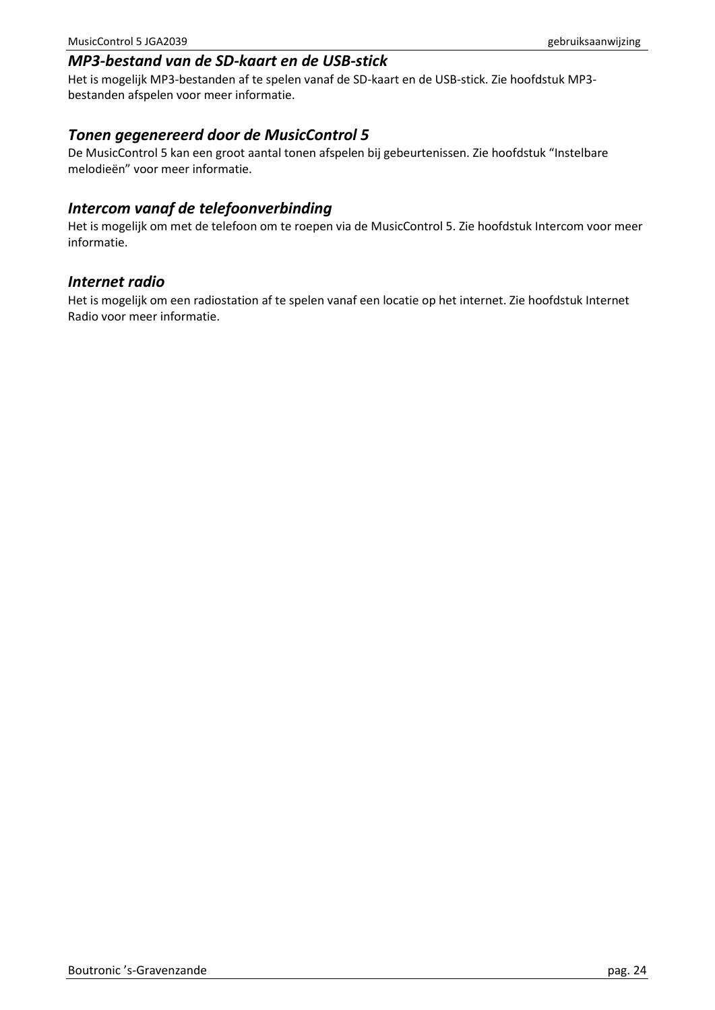### <span id="page-23-1"></span><span id="page-23-0"></span>*Tonen gegenereerd door de MusicControl 5*

De MusicControl 5 kan een groot aantal tonen afspelen bij gebeurtenissen. Zie hoofdstuk "Instelbare melodieën" voor meer informatie.

### <span id="page-23-2"></span>*Intercom vanaf de telefoonverbinding*

Het is mogelijk om met de telefoon om te roepen via de MusicControl 5. Zie hoofdstuk Intercom voor meer informatie.

#### <span id="page-23-3"></span>*Internet radio*

Het is mogelijk om een radiostation af te spelen vanaf een locatie op het internet. Zie hoofdstuk Internet Radio voor meer informatie.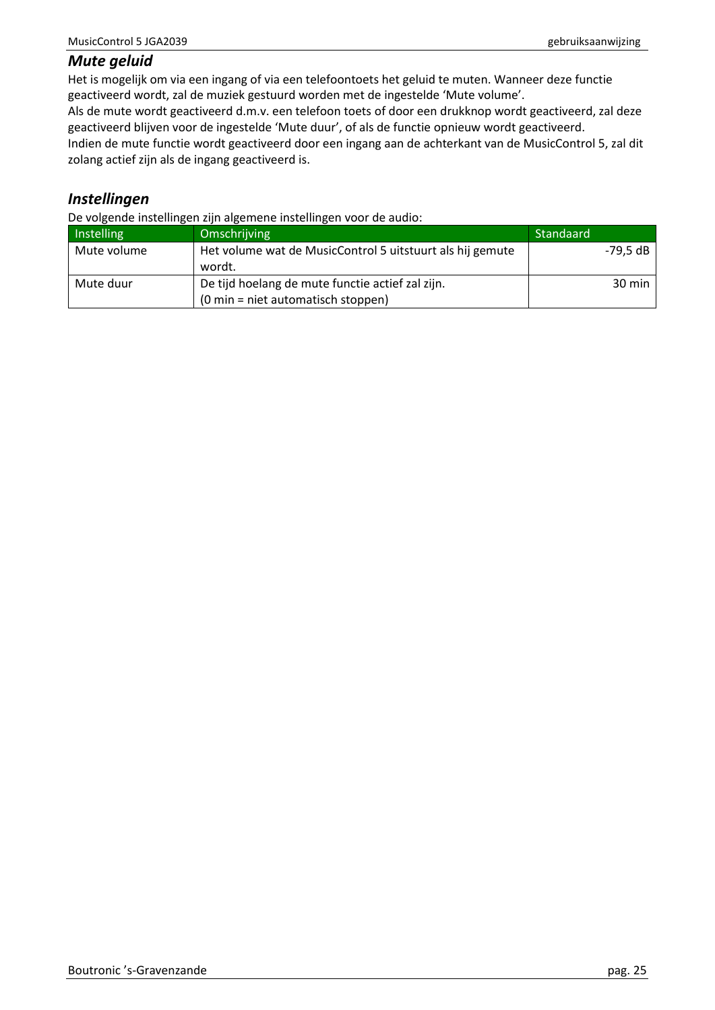#### <span id="page-24-0"></span>*Mute geluid*

Het is mogelijk om via een ingang of via een telefoontoets het geluid te muten. Wanneer deze functie geactiveerd wordt, zal de muziek gestuurd worden met de ingestelde 'Mute volume'.

Als de mute wordt geactiveerd d.m.v. een telefoon toets of door een drukknop wordt geactiveerd, zal deze geactiveerd blijven voor de ingestelde 'Mute duur', of als de functie opnieuw wordt geactiveerd.

Indien de mute functie wordt geactiveerd door een ingang aan de achterkant van de MusicControl 5, zal dit zolang actief zijn als de ingang geactiveerd is.

## <span id="page-24-1"></span>*Instellingen*

De volgende instellingen zijn algemene instellingen voor de audio:

| Instelling  | Omschrijving                                                                                             | Standaard        |
|-------------|----------------------------------------------------------------------------------------------------------|------------------|
| Mute volume | Het volume wat de MusicControl 5 uitstuurt als hij gemute<br>wordt.                                      | -79.5 dB         |
| Mute duur   | De tijd hoelang de mute functie actief zal zijn.<br>$(0 \text{ min} = \text{ niet automatisch stoppen})$ | $30 \text{ min}$ |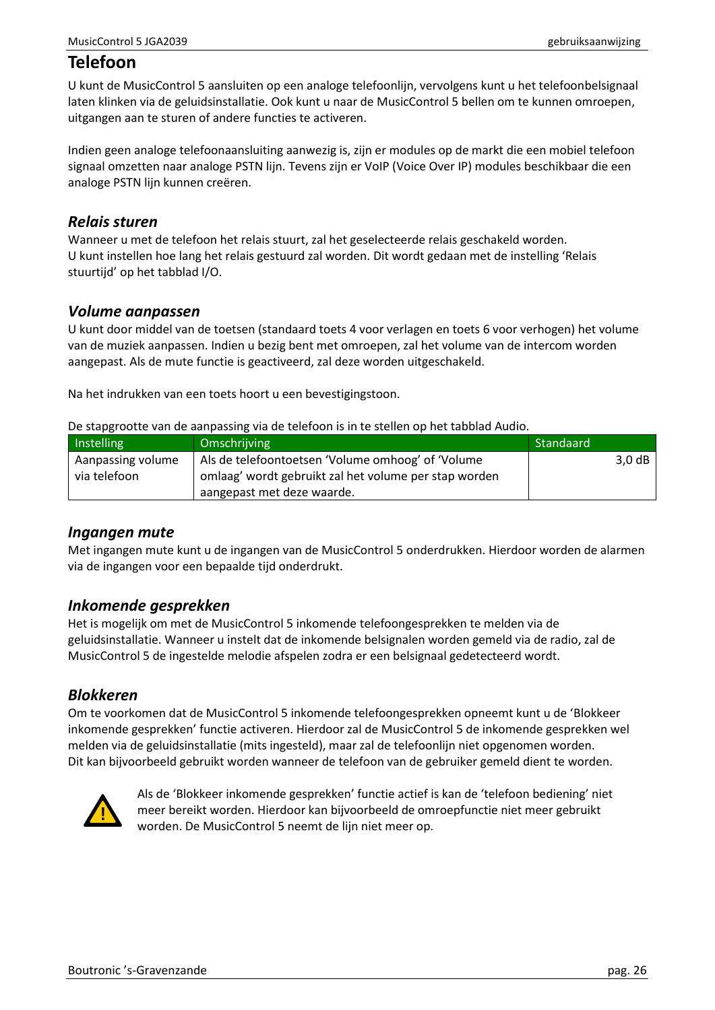# <span id="page-25-0"></span>**Telefoon**

U kunt de MusicControl 5 aansluiten op een analoge telefoonlijn, vervolgens kunt u het telefoonbelsignaal laten klinken via de geluidsinstallatie. Ook kunt u naar de MusicControl 5 bellen om te kunnen omroepen, uitgangen aan te sturen of andere functies te activeren.

Indien geen analoge telefoonaansluiting aanwezig is, zijn er modules op de markt die een mobiel telefoon signaal omzetten naar analoge PSTN lijn. Tevens zijn er VoIP (Voice Over IP) modules beschikbaar die een analoge PSTN lijn kunnen creëren.

### <span id="page-25-1"></span>*Relais sturen*

Wanneer u met de telefoon het relais stuurt, zal het geselecteerde relais geschakeld worden. U kunt instellen hoe lang het relais gestuurd zal worden. Dit wordt gedaan met de instelling 'Relais stuurtiid' op het tabblad I/O.

### <span id="page-25-2"></span>*Volume aanpassen*

U kunt door middel van de toetsen (standaard toets 4 voor verlagen en toets 6 voor verhogen) het volume van de muziek aanpassen. Indien u bezig bent met omroepen, zal het volume van de intercom worden aangepast. Als de mute functie is geactiveerd, zal deze worden uitgeschakeld.

Na het indrukken van een toets hoort u een bevestigingstoon.

De stapgrootte van de aanpassing via de telefoon is in te stellen op het tabblad Audio.

| Instelling        | Omschrijving                                          | Standaard         |
|-------------------|-------------------------------------------------------|-------------------|
| Aanpassing volume | Als de telefoontoetsen 'Volume omhoog' of 'Volume     | 3.0 <sub>dB</sub> |
| via telefoon      | omlaag' wordt gebruikt zal het volume per stap worden |                   |
|                   | aangepast met deze waarde.                            |                   |

### <span id="page-25-3"></span>*Ingangen mute*

Met ingangen mute kunt u de ingangen van de MusicControl 5 onderdrukken. Hierdoor worden de alarmen via de ingangen voor een bepaalde tijd onderdrukt.

## <span id="page-25-4"></span>*Inkomende gesprekken*

Het is mogelijk om met de MusicControl 5 inkomende telefoongesprekken te melden via de geluidsinstallatie. Wanneer u instelt dat de inkomende belsignalen worden gemeld via de radio, zal de MusicControl 5 de ingestelde melodie afspelen zodra er een belsignaal gedetecteerd wordt.

### <span id="page-25-5"></span>*Blokkeren*

Om te voorkomen dat de MusicControl 5 inkomende telefoongesprekken opneemt kunt u de 'Blokkeer inkomende gesprekken' functie activeren. Hierdoor zal de MusicControl 5 de inkomende gesprekken wel melden via de geluidsinstallatie (mits ingesteld), maar zal de telefoonlijn niet opgenomen worden. Dit kan bijvoorbeeld gebruikt worden wanneer de telefoon van de gebruiker gemeld dient te worden.



Als de 'Blokkeer inkomende gesprekken' functie actief is kan de 'telefoon bediening' niet meer bereikt worden. Hierdoor kan bijvoorbeeld de omroepfunctie niet meer gebruikt worden. De MusicControl 5 neemt de lijn niet meer op.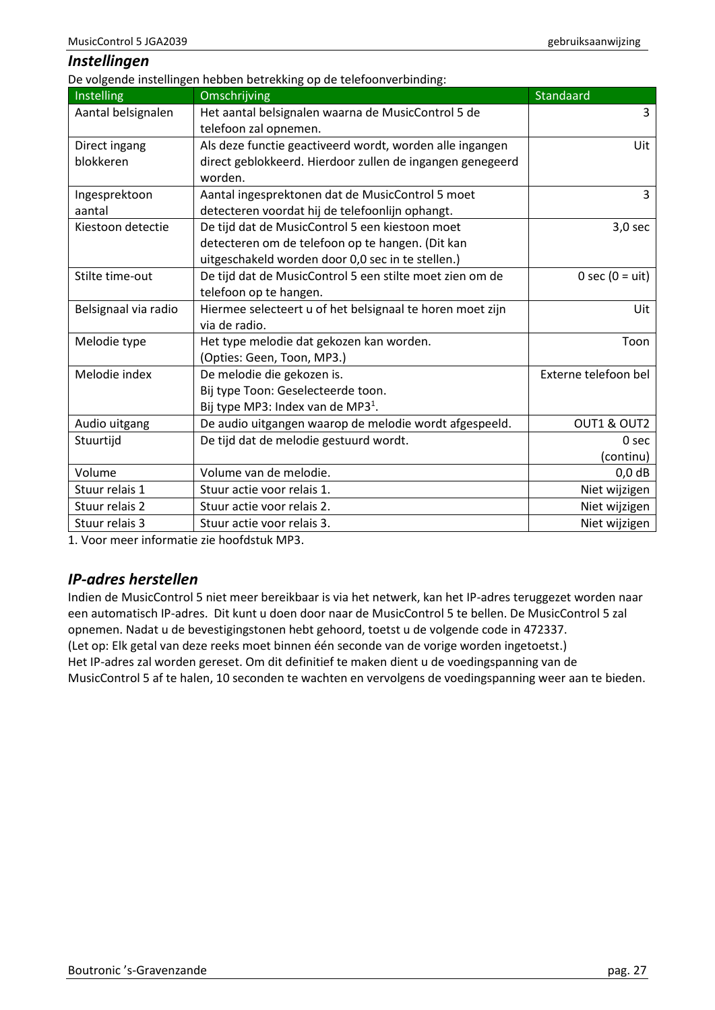#### <span id="page-26-0"></span>*Instellingen*

De volgende instellingen hebben betrekking op de telefoonverbinding:

| Instelling           | Omschrijving                                              | Standaard            |
|----------------------|-----------------------------------------------------------|----------------------|
| Aantal belsignalen   | Het aantal belsignalen waarna de MusicControl 5 de        | 3                    |
|                      | telefoon zal opnemen.                                     |                      |
| Direct ingang        | Als deze functie geactiveerd wordt, worden alle ingangen  | Uit                  |
| blokkeren            | direct geblokkeerd. Hierdoor zullen de ingangen genegeerd |                      |
|                      | worden.                                                   |                      |
| Ingesprektoon        | Aantal ingesprektonen dat de MusicControl 5 moet          | 3                    |
| aantal               | detecteren voordat hij de telefoonlijn ophangt.           |                      |
| Kiestoon detectie    | De tijd dat de MusicControl 5 een kiestoon moet           | $3,0$ sec            |
|                      | detecteren om de telefoon op te hangen. (Dit kan          |                      |
|                      | uitgeschakeld worden door 0,0 sec in te stellen.)         |                      |
| Stilte time-out      | De tijd dat de MusicControl 5 een stilte moet zien om de  | 0 sec $(0 = uit)$    |
|                      | telefoon op te hangen.                                    |                      |
| Belsignaal via radio | Hiermee selecteert u of het belsignaal te horen moet zijn | Uit                  |
|                      | via de radio.                                             |                      |
| Melodie type         | Het type melodie dat gekozen kan worden.                  | Toon                 |
|                      | (Opties: Geen, Toon, MP3.)                                |                      |
| Melodie index        | De melodie die gekozen is.                                | Externe telefoon bel |
|                      | Bij type Toon: Geselecteerde toon.                        |                      |
|                      | Bij type MP3: Index van de MP3 <sup>1</sup> .             |                      |
| Audio uitgang        | De audio uitgangen waarop de melodie wordt afgespeeld.    | OUT1 & OUT2          |
| Stuurtijd            | De tijd dat de melodie gestuurd wordt.                    | 0 sec                |
|                      |                                                           | (continu)            |
| Volume               | Volume van de melodie.                                    | $0,0$ dB             |
| Stuur relais 1       | Stuur actie voor relais 1.                                | Niet wijzigen        |
| Stuur relais 2       | Stuur actie voor relais 2.                                | Niet wijzigen        |
| Stuur relais 3       | Stuur actie voor relais 3.                                | Niet wijzigen        |

1. Voor meer informatie zie hoofdstuk MP3.

# <span id="page-26-1"></span>*IP-adres herstellen*

Indien de MusicControl 5 niet meer bereikbaar is via het netwerk, kan het IP-adres teruggezet worden naar een automatisch IP-adres. Dit kunt u doen door naar de MusicControl 5 te bellen. De MusicControl 5 zal opnemen. Nadat u de bevestigingstonen hebt gehoord, toetst u de volgende code in 472337. (Let op: Elk getal van deze reeks moet binnen één seconde van de vorige worden ingetoetst.) Het IP-adres zal worden gereset. Om dit definitief te maken dient u de voedingspanning van de MusicControl 5 af te halen, 10 seconden te wachten en vervolgens de voedingspanning weer aan te bieden.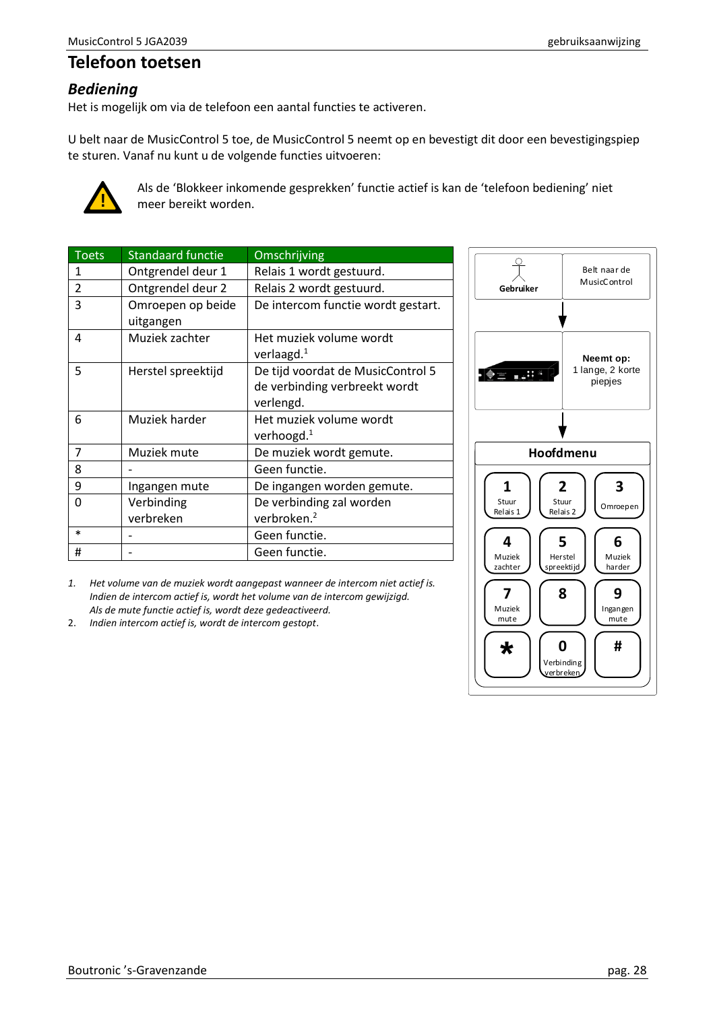# <span id="page-27-0"></span>**Telefoon toetsen**

## <span id="page-27-1"></span>*Bediening*

Het is mogelijk om via de telefoon een aantal functies te activeren.

U belt naar de MusicControl 5 toe, de MusicControl 5 neemt op en bevestigt dit door een bevestigingspiep te sturen. Vanaf nu kunt u de volgende functies uitvoeren:



Als de 'Blokkeer inkomende gesprekken' functie actief is kan de 'telefoon bediening' niet meer bereikt worden.

| <b>Toets</b>             | <b>Standaard functie</b>       | Omschrijving                                                                    |
|--------------------------|--------------------------------|---------------------------------------------------------------------------------|
| 1                        | Ontgrendel deur 1              | Relais 1 wordt gestuurd.                                                        |
| $\overline{\phantom{a}}$ | Ontgrendel deur 2              | Relais 2 wordt gestuurd.                                                        |
| 3                        | Omroepen op beide<br>uitgangen | De intercom functie wordt gestart.                                              |
| 4                        | Muziek zachter                 | Het muziek volume wordt<br>verlaagd. $1$                                        |
| 5                        | Herstel spreektijd             | De tijd voordat de MusicControl 5<br>de verbinding verbreekt wordt<br>verlengd. |
| 6                        | Muziek harder                  | Het muziek volume wordt<br>verhoogd. $1$                                        |
| $\overline{7}$           | Muziek mute                    | De muziek wordt gemute.                                                         |
| 8                        |                                | Geen functie.                                                                   |
| 9                        | Ingangen mute                  | De ingangen worden gemute.                                                      |
| 0                        | Verbinding<br>verbreken        | De verbinding zal worden<br>verbroken. <sup>2</sup>                             |
| *                        |                                | Geen functie.                                                                   |
| #                        |                                | Geen functie.                                                                   |



2. *Indien intercom actief is, wordt de intercom gestopt*.

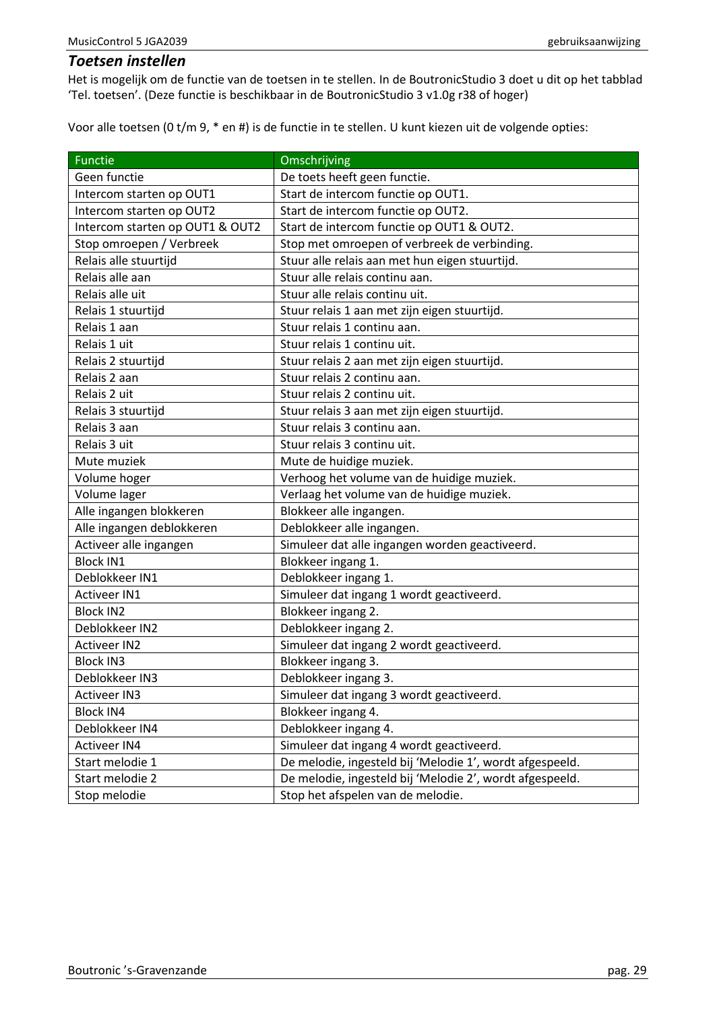#### <span id="page-28-0"></span>*Toetsen instellen*

Het is mogelijk om de functie van de toetsen in te stellen. In de BoutronicStudio 3 doet u dit op het tabblad 'Tel. toetsen'. (Deze functie is beschikbaar in de BoutronicStudio 3 v1.0g r38 of hoger)

Voor alle toetsen (0 t/m 9, \* en #) is de functie in te stellen. U kunt kiezen uit de volgende opties:

| <b>Functie</b>                  | Omschrijving                                             |
|---------------------------------|----------------------------------------------------------|
| Geen functie                    | De toets heeft geen functie.                             |
| Intercom starten op OUT1        | Start de intercom functie op OUT1.                       |
| Intercom starten op OUT2        | Start de intercom functie op OUT2.                       |
| Intercom starten op OUT1 & OUT2 | Start de intercom functie op OUT1 & OUT2.                |
| Stop omroepen / Verbreek        | Stop met omroepen of verbreek de verbinding.             |
| Relais alle stuurtijd           | Stuur alle relais aan met hun eigen stuurtijd.           |
| Relais alle aan                 | Stuur alle relais continu aan.                           |
| Relais alle uit                 | Stuur alle relais continu uit.                           |
| Relais 1 stuurtijd              | Stuur relais 1 aan met zijn eigen stuurtijd.             |
| Relais 1 aan                    | Stuur relais 1 continu aan.                              |
| Relais 1 uit                    | Stuur relais 1 continu uit.                              |
| Relais 2 stuurtijd              | Stuur relais 2 aan met zijn eigen stuurtijd.             |
| Relais 2 aan                    | Stuur relais 2 continu aan.                              |
| Relais 2 uit                    | Stuur relais 2 continu uit.                              |
| Relais 3 stuurtijd              | Stuur relais 3 aan met zijn eigen stuurtijd.             |
| Relais 3 aan                    | Stuur relais 3 continu aan.                              |
| Relais 3 uit                    | Stuur relais 3 continu uit.                              |
| Mute muziek                     | Mute de huidige muziek.                                  |
| Volume hoger                    | Verhoog het volume van de huidige muziek.                |
| Volume lager                    | Verlaag het volume van de huidige muziek.                |
| Alle ingangen blokkeren         | Blokkeer alle ingangen.                                  |
| Alle ingangen deblokkeren       | Deblokkeer alle ingangen.                                |
| Activeer alle ingangen          | Simuleer dat alle ingangen worden geactiveerd.           |
| <b>Block IN1</b>                | Blokkeer ingang 1.                                       |
| Deblokkeer IN1                  | Deblokkeer ingang 1.                                     |
| <b>Activeer IN1</b>             | Simuleer dat ingang 1 wordt geactiveerd.                 |
| <b>Block IN2</b>                | Blokkeer ingang 2.                                       |
| Deblokkeer IN2                  | Deblokkeer ingang 2.                                     |
| <b>Activeer IN2</b>             | Simuleer dat ingang 2 wordt geactiveerd.                 |
| <b>Block IN3</b>                | Blokkeer ingang 3.                                       |
| Deblokkeer IN3                  | Deblokkeer ingang 3.                                     |
| <b>Activeer IN3</b>             | Simuleer dat ingang 3 wordt geactiveerd.                 |
| <b>Block IN4</b>                | Blokkeer ingang 4.                                       |
| Deblokkeer IN4                  | Deblokkeer ingang 4.                                     |
| <b>Activeer IN4</b>             | Simuleer dat ingang 4 wordt geactiveerd.                 |
| Start melodie 1                 | De melodie, ingesteld bij 'Melodie 1', wordt afgespeeld. |
| Start melodie 2                 | De melodie, ingesteld bij 'Melodie 2', wordt afgespeeld. |
| Stop melodie                    | Stop het afspelen van de melodie.                        |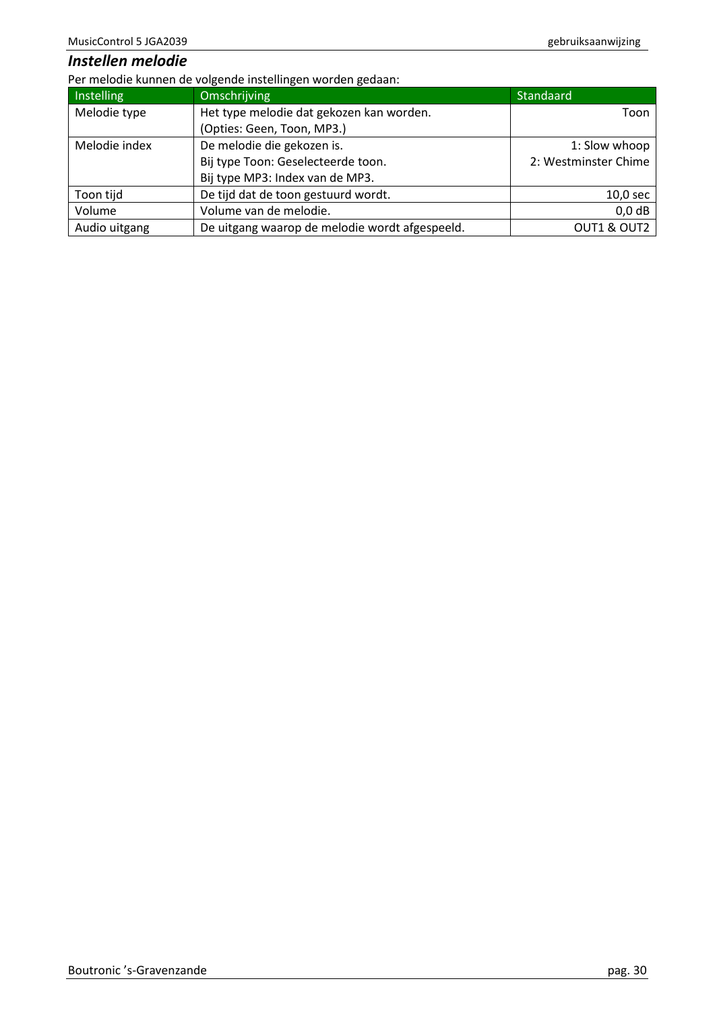## <span id="page-29-0"></span>*Instellen melodie*

Per melodie kunnen de volgende instellingen worden gedaan:

| Instelling    | Omschrijving                                   | Standaard            |
|---------------|------------------------------------------------|----------------------|
| Melodie type  | Het type melodie dat gekozen kan worden.       | Toon                 |
|               | (Opties: Geen, Toon, MP3.)                     |                      |
| Melodie index | De melodie die gekozen is.                     | 1: Slow whoop        |
|               | Bij type Toon: Geselecteerde toon.             | 2: Westminster Chime |
|               | Bij type MP3: Index van de MP3.                |                      |
| Toon tijd     | De tijd dat de toon gestuurd wordt.            | $10,0$ sec           |
| Volume        | Volume van de melodie.                         | $0,0$ dB             |
| Audio uitgang | De uitgang waarop de melodie wordt afgespeeld. | OUT1 & OUT2          |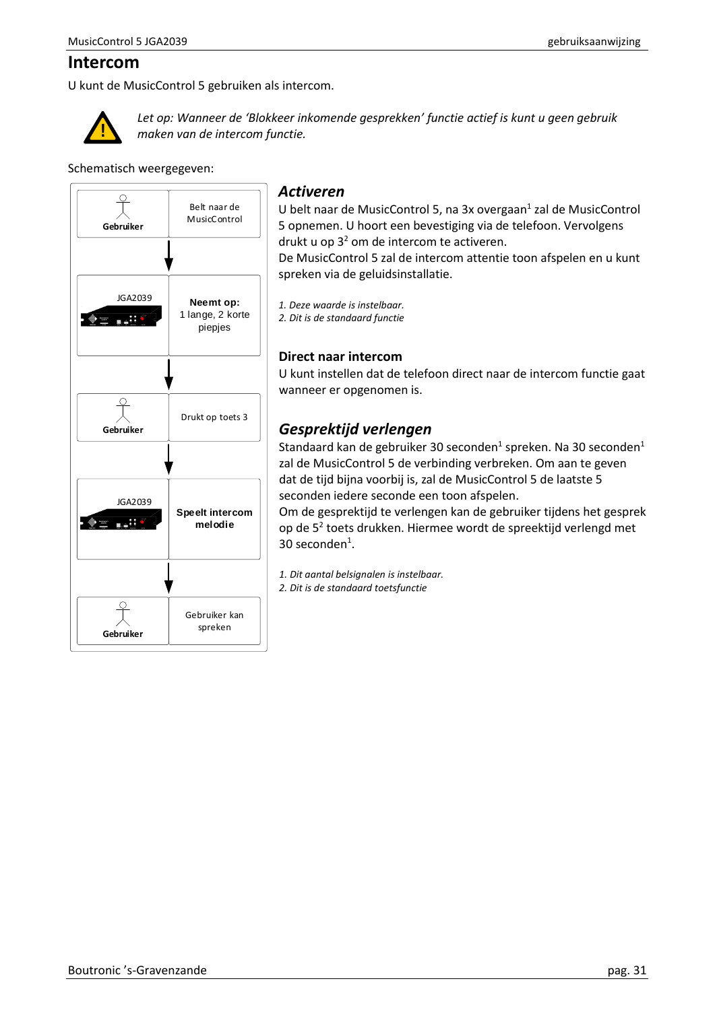## <span id="page-30-0"></span>**Intercom**

U kunt de MusicControl 5 gebruiken als intercom.



*Let op: Wanneer de 'Blokkeer inkomende gesprekken' functie actief is kunt u geen gebruik maken van de intercom functie.*

Schematisch weergegeven:



#### <span id="page-30-1"></span>*Activeren*

U belt naar de MusicControl 5, na 3x overgaan<sup>1</sup> zal de MusicControl 5 opnemen. U hoort een bevestiging via de telefoon. Vervolgens drukt u op  $3<sup>2</sup>$  om de intercom te activeren.

De MusicControl 5 zal de intercom attentie toon afspelen en u kunt spreken via de geluidsinstallatie.

*1. Deze waarde is instelbaar.*

*2. Dit is de standaard functie* 

#### **Direct naar intercom**

U kunt instellen dat de telefoon direct naar de intercom functie gaat wanneer er opgenomen is.

# <span id="page-30-2"></span>*Gesprektijd verlengen*

Standaard kan de gebruiker 30 seconden<sup>1</sup> spreken. Na 30 seconden<sup>1</sup> zal de MusicControl 5 de verbinding verbreken. Om aan te geven dat de tijd bijna voorbij is, zal de MusicControl 5 de laatste 5 seconden iedere seconde een toon afspelen.

Om de gesprektijd te verlengen kan de gebruiker tijdens het gesprek op de 5<sup>2</sup> toets drukken. Hiermee wordt de spreektijd verlengd met 30 seconden<sup>1</sup>.

*1. Dit aantal belsignalen is instelbaar.*

*2. Dit is de standaard toetsfunctie*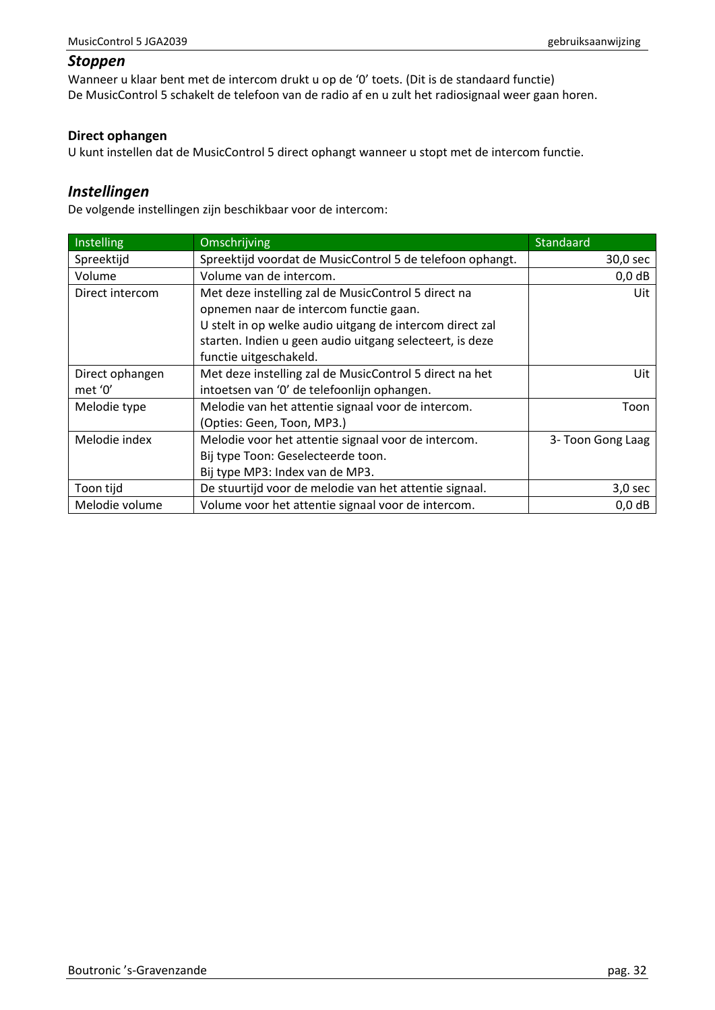#### <span id="page-31-0"></span>*Stoppen*

Wanneer u klaar bent met de intercom drukt u op de '0' toets. (Dit is de standaard functie) De MusicControl 5 schakelt de telefoon van de radio af en u zult het radiosignaal weer gaan horen.

#### **Direct ophangen**

U kunt instellen dat de MusicControl 5 direct ophangt wanneer u stopt met de intercom functie.

## <span id="page-31-1"></span>*Instellingen*

De volgende instellingen zijn beschikbaar voor de intercom:

| Instelling      | <b>Omschrijving</b>                                       | Standaard         |
|-----------------|-----------------------------------------------------------|-------------------|
| Spreektijd      | Spreektijd voordat de MusicControl 5 de telefoon ophangt. | 30,0 sec          |
| Volume          | Volume van de intercom.                                   | $0,0$ dB          |
| Direct intercom | Met deze instelling zal de MusicControl 5 direct na       | Uit               |
|                 | opnemen naar de intercom functie gaan.                    |                   |
|                 | U stelt in op welke audio uitgang de intercom direct zal  |                   |
|                 | starten. Indien u geen audio uitgang selecteert, is deze  |                   |
|                 | functie uitgeschakeld.                                    |                   |
| Direct ophangen | Met deze instelling zal de MusicControl 5 direct na het   | Uit               |
| met '0'         | intoetsen van '0' de telefoonlijn ophangen.               |                   |
| Melodie type    | Melodie van het attentie signaal voor de intercom.        | Toon              |
|                 | (Opties: Geen, Toon, MP3.)                                |                   |
| Melodie index   | Melodie voor het attentie signaal voor de intercom.       | 3- Toon Gong Laag |
|                 | Bij type Toon: Geselecteerde toon.                        |                   |
|                 | Bij type MP3: Index van de MP3.                           |                   |
| Toon tijd       | De stuurtijd voor de melodie van het attentie signaal.    | $3,0$ sec         |
| Melodie volume  | Volume voor het attentie signaal voor de intercom.        | $0,0$ dB          |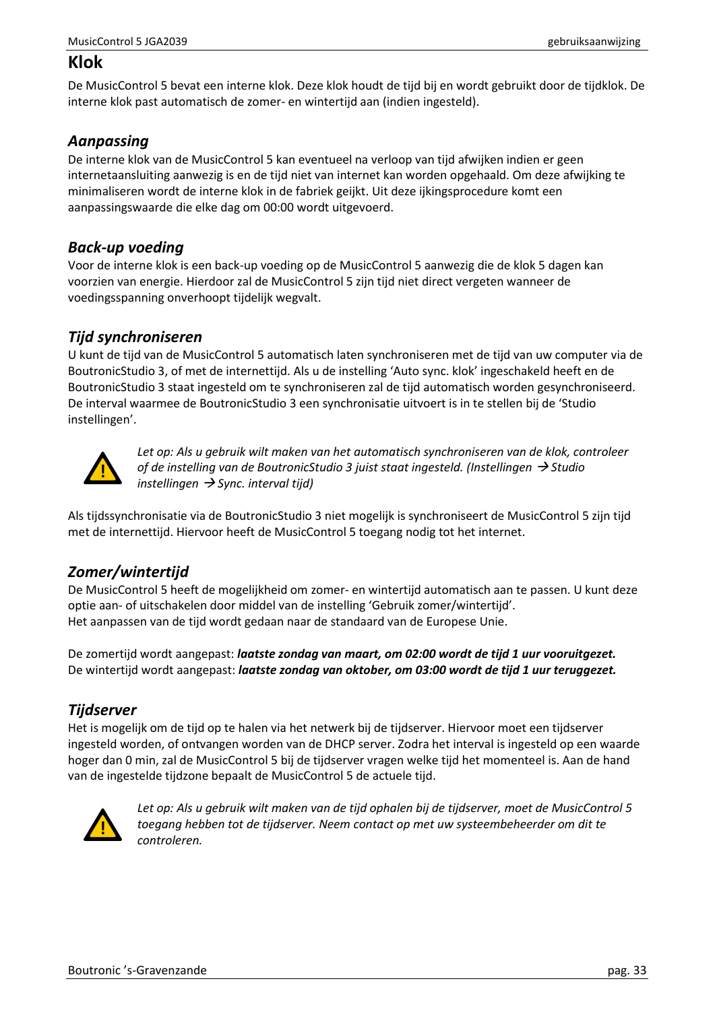## <span id="page-32-0"></span>**Klok**

De MusicControl 5 bevat een interne klok. Deze klok houdt de tijd bij en wordt gebruikt door de tijdklok. De interne klok past automatisch de zomer- en wintertijd aan (indien ingesteld).

## <span id="page-32-1"></span>*Aanpassing*

De interne klok van de MusicControl 5 kan eventueel na verloop van tijd afwijken indien er geen internetaansluiting aanwezig is en de tijd niet van internet kan worden opgehaald. Om deze afwijking te minimaliseren wordt de interne klok in de fabriek geijkt. Uit deze ijkingsprocedure komt een aanpassingswaarde die elke dag om 00:00 wordt uitgevoerd.

## <span id="page-32-2"></span>*Back-up voeding*

Voor de interne klok is een back-up voeding op de MusicControl 5 aanwezig die de klok 5 dagen kan voorzien van energie. Hierdoor zal de MusicControl 5 zijn tijd niet direct vergeten wanneer de voedingsspanning onverhoopt tijdelijk wegvalt.

## <span id="page-32-3"></span>*Tijd synchroniseren*

U kunt de tijd van de MusicControl 5 automatisch laten synchroniseren met de tijd van uw computer via de BoutronicStudio 3, of met de internettijd. Als u de instelling 'Auto sync. klok' ingeschakeld heeft en de BoutronicStudio 3 staat ingesteld om te synchroniseren zal de tijd automatisch worden gesynchroniseerd. De interval waarmee de BoutronicStudio 3 een synchronisatie uitvoert is in te stellen bij de 'Studio instellingen'.



*Let op: Als u gebruik wilt maken van het automatisch synchroniseren van de klok, controleer of de instelling van de BoutronicStudio 3 juist staat ingesteld. (Instellingen* → *Studio instellingen* → *Sync. interval tijd)*

Als tijdssynchronisatie via de BoutronicStudio 3 niet mogelijk is synchroniseert de MusicControl 5 zijn tijd met de internettijd. Hiervoor heeft de MusicControl 5 toegang nodig tot het internet.

## <span id="page-32-4"></span>*Zomer/wintertijd*

De MusicControl 5 heeft de mogelijkheid om zomer- en wintertijd automatisch aan te passen. U kunt deze optie aan- of uitschakelen door middel van de instelling 'Gebruik zomer/wintertijd'. Het aanpassen van de tijd wordt gedaan naar de standaard van de Europese Unie.

De zomertijd wordt aangepast: *laatste zondag van maart, om 02:00 wordt de tijd 1 uur vooruitgezet.* De wintertijd wordt aangepast: *laatste zondag van oktober, om 03:00 wordt de tijd 1 uur teruggezet.*

## <span id="page-32-5"></span>*Tijdserver*

Het is mogelijk om de tijd op te halen via het netwerk bij de tijdserver. Hiervoor moet een tijdserver ingesteld worden, of ontvangen worden van de DHCP server. Zodra het interval is ingesteld op een waarde hoger dan 0 min, zal de MusicControl 5 bij de tijdserver vragen welke tijd het momenteel is. Aan de hand van de ingestelde tijdzone bepaalt de MusicControl 5 de actuele tijd.



*Let op: Als u gebruik wilt maken van de tijd ophalen bij de tijdserver, moet de MusicControl 5 toegang hebben tot de tijdserver. Neem contact op met uw systeembeheerder om dit te controleren.*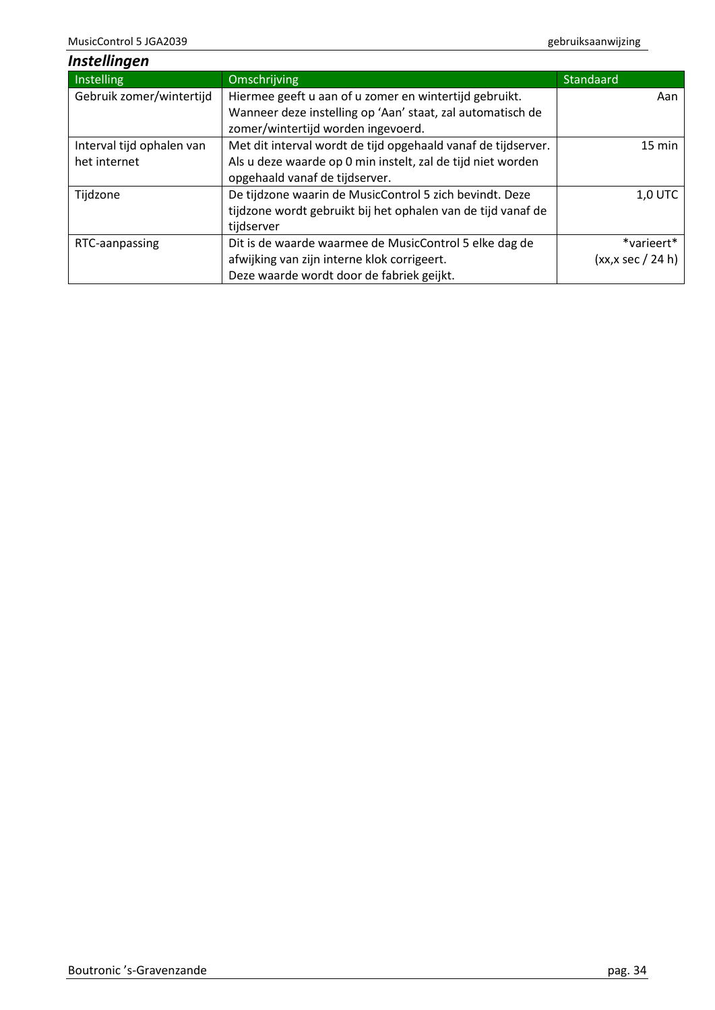<span id="page-33-0"></span>

| Instellingen              |                                                               |                       |
|---------------------------|---------------------------------------------------------------|-----------------------|
| Instelling                | Omschrijving                                                  | Standaard             |
| Gebruik zomer/wintertijd  | Hiermee geeft u aan of u zomer en wintertijd gebruikt.        | Aan                   |
|                           | Wanneer deze instelling op 'Aan' staat, zal automatisch de    |                       |
|                           | zomer/wintertijd worden ingevoerd.                            |                       |
| Interval tijd ophalen van | Met dit interval wordt de tijd opgehaald vanaf de tijdserver. | 15 min                |
| het internet              | Als u deze waarde op 0 min instelt, zal de tijd niet worden   |                       |
|                           | opgehaald vanaf de tijdserver.                                |                       |
| Tijdzone                  | De tijdzone waarin de MusicControl 5 zich bevindt. Deze       | <b>1,0 UTC</b>        |
|                           | tijdzone wordt gebruikt bij het ophalen van de tijd vanaf de  |                       |
|                           | tijdserver                                                    |                       |
| RTC-aanpassing            | Dit is de waarde waarmee de MusicControl 5 elke dag de        | *varieert*            |
|                           | afwijking van zijn interne klok corrigeert.                   | $(xx, x \sec / 24 h)$ |
|                           | Deze waarde wordt door de fabriek geijkt.                     |                       |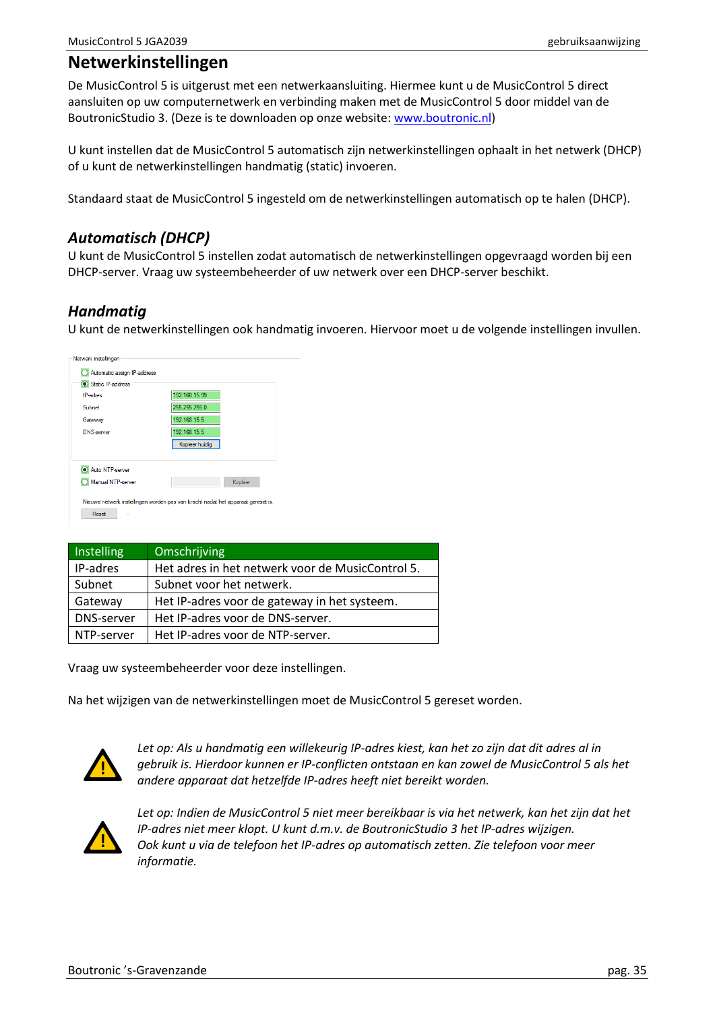# <span id="page-34-0"></span>**Netwerkinstellingen**

De MusicControl 5 is uitgerust met een netwerkaansluiting. Hiermee kunt u de MusicControl 5 direct aansluiten op uw computernetwerk en verbinding maken met de MusicControl 5 door middel van de BoutronicStudio 3. (Deze is te downloaden op onze website: [www.boutronic.nl\)](http://www.boutronic.nl/)

U kunt instellen dat de MusicControl 5 automatisch zijn netwerkinstellingen ophaalt in het netwerk (DHCP) of u kunt de netwerkinstellingen handmatig (static) invoeren.

Standaard staat de MusicControl 5 ingesteld om de netwerkinstellingen automatisch op te halen (DHCP).

### <span id="page-34-1"></span>*Automatisch (DHCP)*

U kunt de MusicControl 5 instellen zodat automatisch de netwerkinstellingen opgevraagd worden bij een DHCP-server. Vraag uw systeembeheerder of uw netwerk over een DHCP-server beschikt.

## <span id="page-34-2"></span>*Handmatig*

U kunt de netwerkinstellingen ook handmatig invoeren. Hiervoor moet u de volgende instellingen invullen.

| <b>IP-adres</b>                      | 192.168.15.99                  |
|--------------------------------------|--------------------------------|
| Subnet                               | 255.255.255.0                  |
| Gateway                              | 192.168.15.5                   |
| <b>DNS-server</b>                    | 192.168.15.5<br>Kopieer huidig |
| Auto NTP-server<br>Manual NTP-server | Kopiëer                        |

| Instelling | Omschrijving                                     |
|------------|--------------------------------------------------|
| IP-adres   | Het adres in het netwerk voor de MusicControl 5. |
| Subnet     | Subnet voor het netwerk.                         |
| Gateway    | Het IP-adres voor de gateway in het systeem.     |
| DNS-server | Het IP-adres voor de DNS-server.                 |
| NTP-server | Het IP-adres voor de NTP-server.                 |

Vraag uw systeembeheerder voor deze instellingen.

Na het wijzigen van de netwerkinstellingen moet de MusicControl 5 gereset worden.



*Let op: Als u handmatig een willekeurig IP-adres kiest, kan het zo zijn dat dit adres al in gebruik is. Hierdoor kunnen er IP-conflicten ontstaan en kan zowel de MusicControl 5 als het andere apparaat dat hetzelfde IP-adres heeft niet bereikt worden.*

<span id="page-34-3"></span>

*Let op: Indien de MusicControl 5 niet meer bereikbaar is via het netwerk, kan het zijn dat het IP-adres niet meer klopt. U kunt d.m.v. de BoutronicStudio 3 het IP-adres wijzigen. Ook kunt u via de telefoon het IP-adres op automatisch zetten. Zie telefoon voor meer informatie.*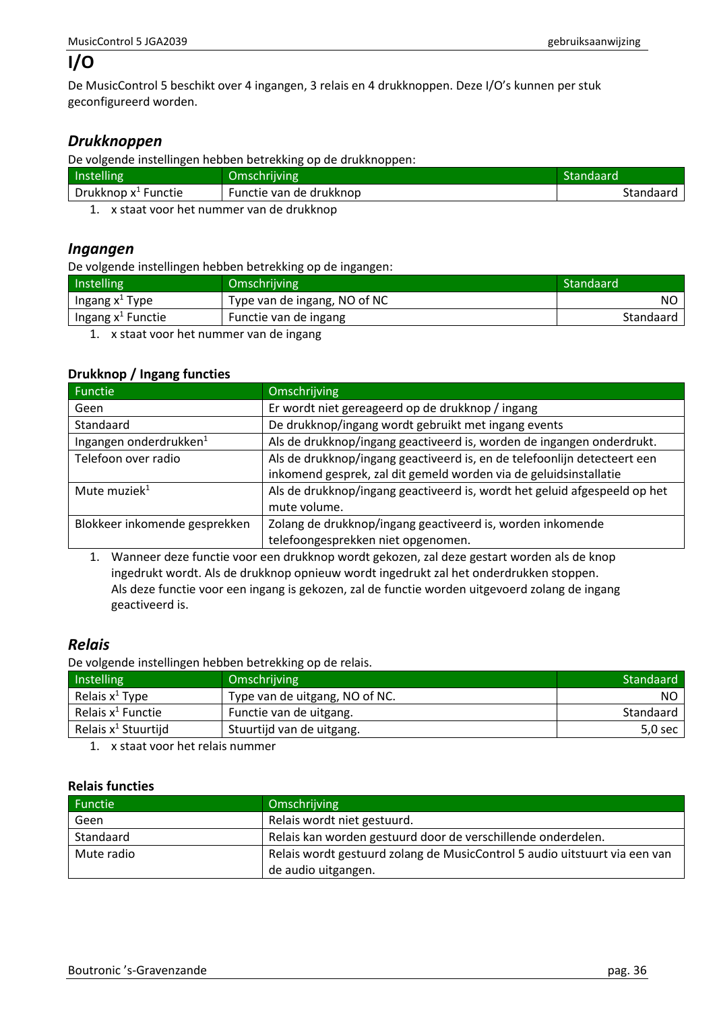# **I/O**

De MusicControl 5 beschikt over 4 ingangen, 3 relais en 4 drukknoppen. Deze I/O's kunnen per stuk geconfigureerd worden.

## <span id="page-35-0"></span>*Drukknoppen*

De volgende instellingen hebben betrekking op de drukknoppen:

| Instelling                                                                   | Omschrijving            | Standaard |
|------------------------------------------------------------------------------|-------------------------|-----------|
| Drukknop $x^1$ Functie                                                       | Functie van de drukknop | Standaard |
| المتملم بالراديم امتام المتمرد متمام متمسك والمتماس والمتماس المتماس المتحدث |                         |           |

1. x staat voor het nummer van de drukknop

### <span id="page-35-1"></span>*Ingangen*

De volgende instellingen hebben betrekking op de ingangen:

| Instelling                    | Omschrijving                                                                                                   | Standaard |
|-------------------------------|----------------------------------------------------------------------------------------------------------------|-----------|
| Ingang $x^1$ Type             | Type van de ingang, NO of NC                                                                                   | NO.       |
| Ingang x <sup>1</sup> Functie | Functie van de ingang                                                                                          | Standaard |
|                               | restricted and the contract of the contract of the contract of the contract of the contract of the contract of |           |

1. x staat voor het nummer van de ingang

#### **Drukknop / Ingang functies**

| Functie                                                                                         | Omschrijving                                                              |  |
|-------------------------------------------------------------------------------------------------|---------------------------------------------------------------------------|--|
| Geen                                                                                            | Er wordt niet gereageerd op de drukknop / ingang                          |  |
| Standaard                                                                                       | De drukknop/ingang wordt gebruikt met ingang events                       |  |
| Ingangen onderdrukken <sup>1</sup>                                                              | Als de drukknop/ingang geactiveerd is, worden de ingangen onderdrukt.     |  |
| Als de drukknop/ingang geactiveerd is, en de telefoonlijn detecteert een<br>Telefoon over radio |                                                                           |  |
|                                                                                                 | inkomend gesprek, zal dit gemeld worden via de geluidsinstallatie         |  |
| Mute muziek <sup>1</sup>                                                                        | Als de drukknop/ingang geactiveerd is, wordt het geluid afgespeeld op het |  |
|                                                                                                 | mute volume.                                                              |  |
| Blokkeer inkomende gesprekken                                                                   | Zolang de drukknop/ingang geactiveerd is, worden inkomende                |  |
|                                                                                                 | telefoongesprekken niet opgenomen.                                        |  |

1. Wanneer deze functie voor een drukknop wordt gekozen, zal deze gestart worden als de knop ingedrukt wordt. Als de drukknop opnieuw wordt ingedrukt zal het onderdrukken stoppen. Als deze functie voor een ingang is gekozen, zal de functie worden uitgevoerd zolang de ingang geactiveerd is.

## <span id="page-35-2"></span>*Relais*

De volgende instellingen hebben betrekking op de relais.

| Instelling                      | Omschrijving                   | Standaard |
|---------------------------------|--------------------------------|-----------|
| Relais $x^1$ Type               | Type van de uitgang, NO of NC. | NO        |
| Relais $x^1$ Functie            | Functie van de uitgang.        | Standaard |
| Relais x <sup>1</sup> Stuurtijd | Stuurtijd van de uitgang.      | 5,0 sec   |
|                                 |                                |           |

1. x staat voor het relais nummer

#### **Relais functies**

| Functie    | Omschrijving                                                               |
|------------|----------------------------------------------------------------------------|
| Geen       | Relais wordt niet gestuurd.                                                |
| Standaard  | Relais kan worden gestuurd door de verschillende onderdelen.               |
| Mute radio | Relais wordt gestuurd zolang de MusicControl 5 audio uitstuurt via een van |
|            | de audio uitgangen.                                                        |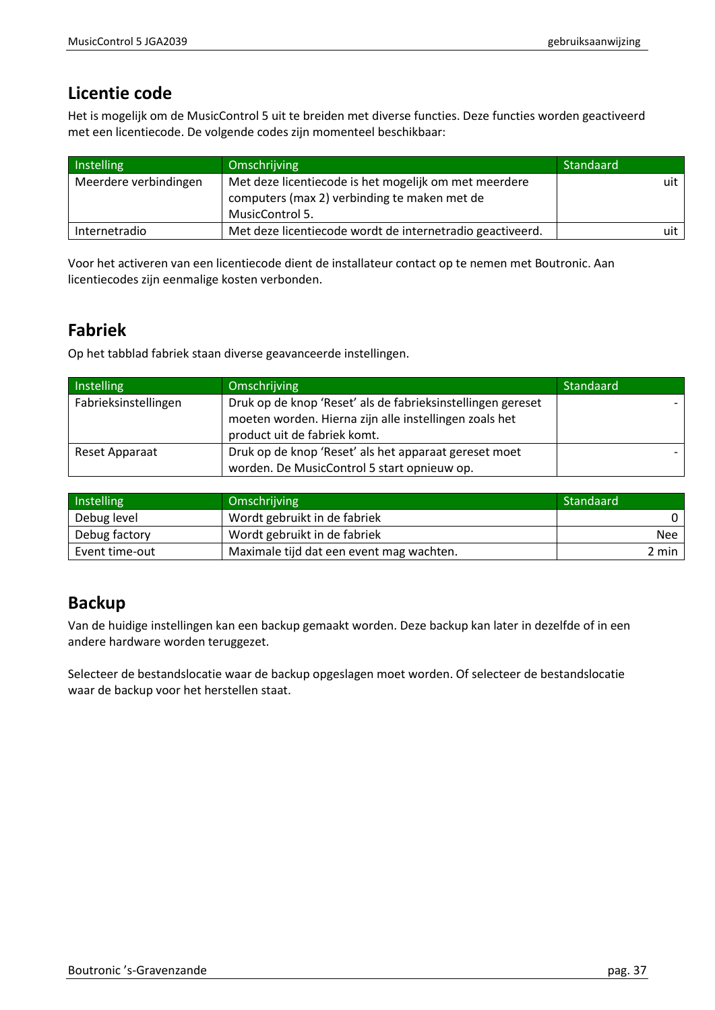# <span id="page-36-0"></span>**Licentie code**

Het is mogelijk om de MusicControl 5 uit te breiden met diverse functies. Deze functies worden geactiveerd met een licentiecode. De volgende codes zijn momenteel beschikbaar:

| Instelling            | Omschrijving                                                                                                             | Standaard |
|-----------------------|--------------------------------------------------------------------------------------------------------------------------|-----------|
| Meerdere verbindingen | Met deze licentiecode is het mogelijk om met meerdere<br>computers (max 2) verbinding te maken met de<br>MusicControl 5. | uit l     |
| Internetradio         | Met deze licentiecode wordt de internetradio geactiveerd.                                                                | uit       |

Voor het activeren van een licentiecode dient de installateur contact op te nemen met Boutronic. Aan licentiecodes zijn eenmalige kosten verbonden.

# <span id="page-36-1"></span>**Fabriek**

Op het tabblad fabriek staan diverse geavanceerde instellingen.

| Instelling           | Omschrijving                                                | Standaard |
|----------------------|-------------------------------------------------------------|-----------|
| Fabrieksinstellingen | Druk op de knop 'Reset' als de fabrieksinstellingen gereset |           |
|                      | moeten worden. Hierna zijn alle instellingen zoals het      |           |
|                      | product uit de fabriek komt.                                |           |
| Reset Apparaat       | Druk op de knop 'Reset' als het apparaat gereset moet       |           |
|                      | worden. De MusicControl 5 start opnieuw op.                 |           |

| Instelling     | Omschrijving                             | Standaard  |
|----------------|------------------------------------------|------------|
| Debug level    | Wordt gebruikt in de fabriek             |            |
| Debug factory  | Wordt gebruikt in de fabriek             | <b>Nee</b> |
| Event time-out | Maximale tijd dat een event mag wachten. | 2 min      |

# <span id="page-36-2"></span>**Backup**

Van de huidige instellingen kan een backup gemaakt worden. Deze backup kan later in dezelfde of in een andere hardware worden teruggezet.

Selecteer de bestandslocatie waar de backup opgeslagen moet worden. Of selecteer de bestandslocatie waar de backup voor het herstellen staat.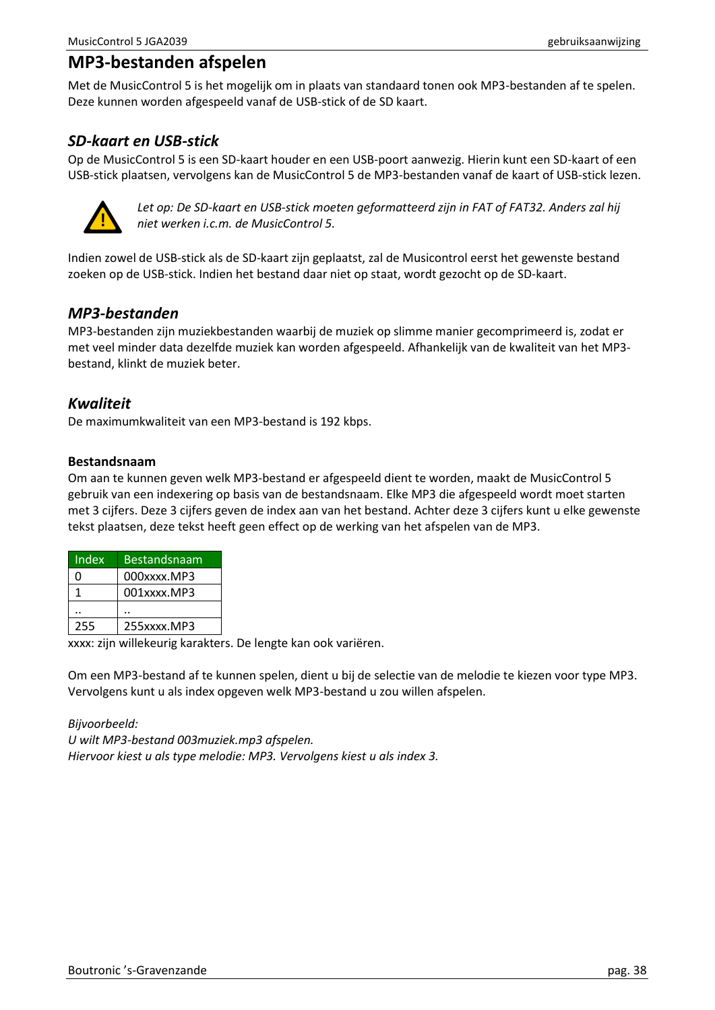# <span id="page-37-0"></span>**MP3-bestanden afspelen**

Met de MusicControl 5 is het mogelijk om in plaats van standaard tonen ook MP3-bestanden af te spelen. Deze kunnen worden afgespeeld vanaf de USB-stick of de SD kaart.

## <span id="page-37-1"></span>*SD-kaart en USB-stick*

Op de MusicControl 5 is een SD-kaart houder en een USB-poort aanwezig. Hierin kunt een SD-kaart of een USB-stick plaatsen, vervolgens kan de MusicControl 5 de MP3-bestanden vanaf de kaart of USB-stick lezen.



*Let op: De SD-kaart en USB-stick moeten geformatteerd zijn in FAT of FAT32. Anders zal hij niet werken i.c.m. de MusicControl 5.*

Indien zowel de USB-stick als de SD-kaart zijn geplaatst, zal de Musicontrol eerst het gewenste bestand zoeken op de USB-stick. Indien het bestand daar niet op staat, wordt gezocht op de SD-kaart.

## <span id="page-37-2"></span>*MP3-bestanden*

MP3-bestanden zijn muziekbestanden waarbij de muziek op slimme manier gecomprimeerd is, zodat er met veel minder data dezelfde muziek kan worden afgespeeld. Afhankelijk van de kwaliteit van het MP3 bestand, klinkt de muziek beter.

## <span id="page-37-3"></span>*Kwaliteit*

De maximumkwaliteit van een MP3-bestand is 192 kbps.

#### **Bestandsnaam**

Om aan te kunnen geven welk MP3-bestand er afgespeeld dient te worden, maakt de MusicControl 5 gebruik van een indexering op basis van de bestandsnaam. Elke MP3 die afgespeeld wordt moet starten met 3 cijfers. Deze 3 cijfers geven de index aan van het bestand. Achter deze 3 cijfers kunt u elke gewenste tekst plaatsen, deze tekst heeft geen effect op de werking van het afspelen van de MP3.

| Index | <b>Bestandsnaam</b> |
|-------|---------------------|
| n     | 000xxxx.MP3         |
|       | 001xxxx.MP3         |
|       |                     |
| 255   | 255xxxx.MP3         |

xxxx: zijn willekeurig karakters. De lengte kan ook variëren.

Om een MP3-bestand af te kunnen spelen, dient u bij de selectie van de melodie te kiezen voor type MP3. Vervolgens kunt u als index opgeven welk MP3-bestand u zou willen afspelen.

*Bijvoorbeeld: U wilt MP3-bestand 003muziek.mp3 afspelen. Hiervoor kiest u als type melodie: MP3. Vervolgens kiest u als index 3.*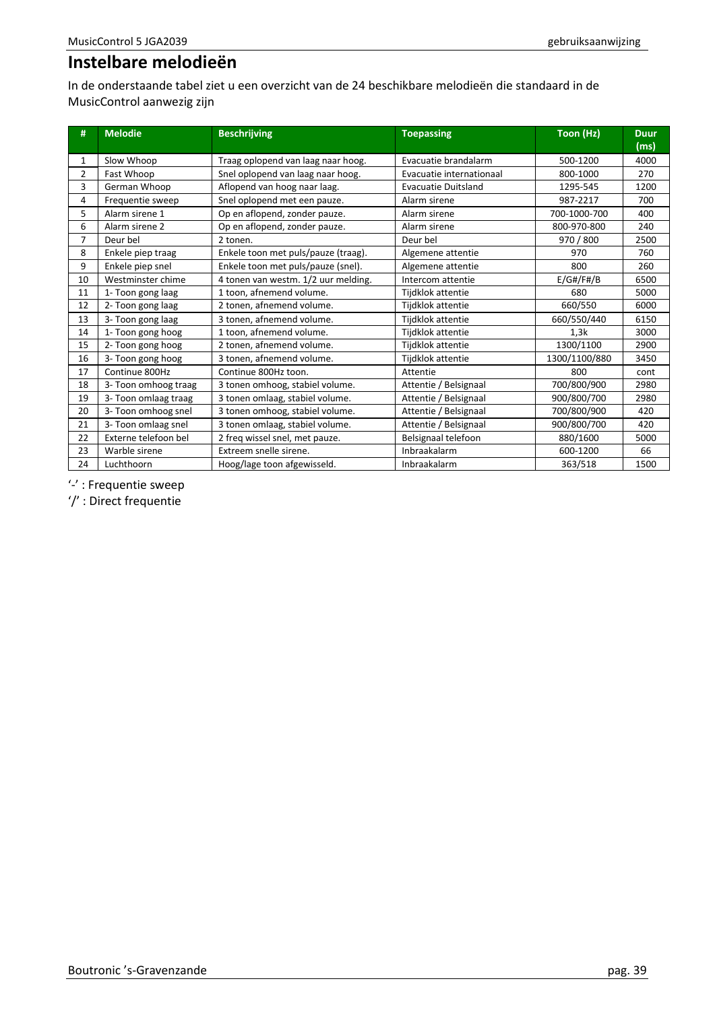# <span id="page-38-0"></span>**Instelbare melodieën**

In de onderstaande tabel ziet u een overzicht van de 24 beschikbare melodieën die standaard in de MusicControl aanwezig zijn

| #              | <b>Melodie</b>       | <b>Beschrijving</b>                 | <b>Toepassing</b>          | Toon (Hz)     | <b>Duur</b><br>(ms) |
|----------------|----------------------|-------------------------------------|----------------------------|---------------|---------------------|
| 1              | Slow Whoop           | Traag oplopend van laag naar hoog.  | Evacuatie brandalarm       | 500-1200      | 4000                |
| $\overline{2}$ | Fast Whoop           | Snel oplopend van laag naar hoog.   | Evacuatie internationaal   | 800-1000      | 270                 |
| 3              | German Whoop         | Aflopend van hoog naar laag.        | <b>Evacuatie Duitsland</b> | 1295-545      | 1200                |
| 4              | Frequentie sweep     | Snel oplopend met een pauze.        | Alarm sirene               | 987-2217      | 700                 |
| 5              | Alarm sirene 1       | Op en aflopend, zonder pauze.       | Alarm sirene               | 700-1000-700  | 400                 |
| 6              | Alarm sirene 2       | Op en aflopend, zonder pauze.       | Alarm sirene               | 800-970-800   | 240                 |
| 7              | Deur bel             | 2 tonen.                            | Deur bel                   | 970 / 800     | 2500                |
| 8              | Enkele piep traag    | Enkele toon met puls/pauze (traag). | Algemene attentie          | 970           | 760                 |
| 9              | Enkele piep snel     | Enkele toon met puls/pauze (snel).  | Algemene attentie          | 800           | 260                 |
| 10             | Westminster chime    | 4 tonen van westm. 1/2 uur melding. | Intercom attentie          | E/G#/F#/B     | 6500                |
| 11             | 1- Toon gong laag    | 1 toon, afnemend volume.            | Tijdklok attentie          | 680           | 5000                |
| 12             | 2- Toon gong laag    | 2 tonen, afnemend volume.           | Tijdklok attentie          | 660/550       | 6000                |
| 13             | 3- Toon gong laag    | 3 tonen, afnemend volume.           | Tijdklok attentie          | 660/550/440   | 6150                |
| 14             | 1- Toon gong hoog    | 1 toon, afnemend volume.            | Tijdklok attentie          | 1,3k          | 3000                |
| 15             | 2- Toon gong hoog    | 2 tonen, afnemend volume.           | Tijdklok attentie          | 1300/1100     | 2900                |
| 16             | 3- Toon gong hoog    | 3 tonen, afnemend volume.           | Tijdklok attentie          | 1300/1100/880 | 3450                |
| 17             | Continue 800Hz       | Continue 800Hz toon.                | Attentie                   | 800           | cont                |
| 18             | 3- Toon omhoog traag | 3 tonen omhoog, stabiel volume.     | Attentie / Belsignaal      | 700/800/900   | 2980                |
| 19             | 3- Toon omlaag traag | 3 tonen omlaag, stabiel volume.     | Attentie / Belsignaal      | 900/800/700   | 2980                |
| 20             | 3- Toon omhoog snel  | 3 tonen omhoog, stabiel volume.     | Attentie / Belsignaal      | 700/800/900   | 420                 |
| 21             | 3- Toon omlaag snel  | 3 tonen omlaag, stabiel volume.     | Attentie / Belsignaal      | 900/800/700   | 420                 |
| 22             | Externe telefoon bel | 2 freq wissel snel, met pauze.      | Belsignaal telefoon        | 880/1600      | 5000                |
| 23             | Warble sirene        | Extreem snelle sirene.              | Inbraakalarm               | 600-1200      | 66                  |
| 24             | Luchthoorn           | Hoog/lage toon afgewisseld.         | Inbraakalarm               | 363/518       | 1500                |

'-' : Frequentie sweep

'/' : Direct frequentie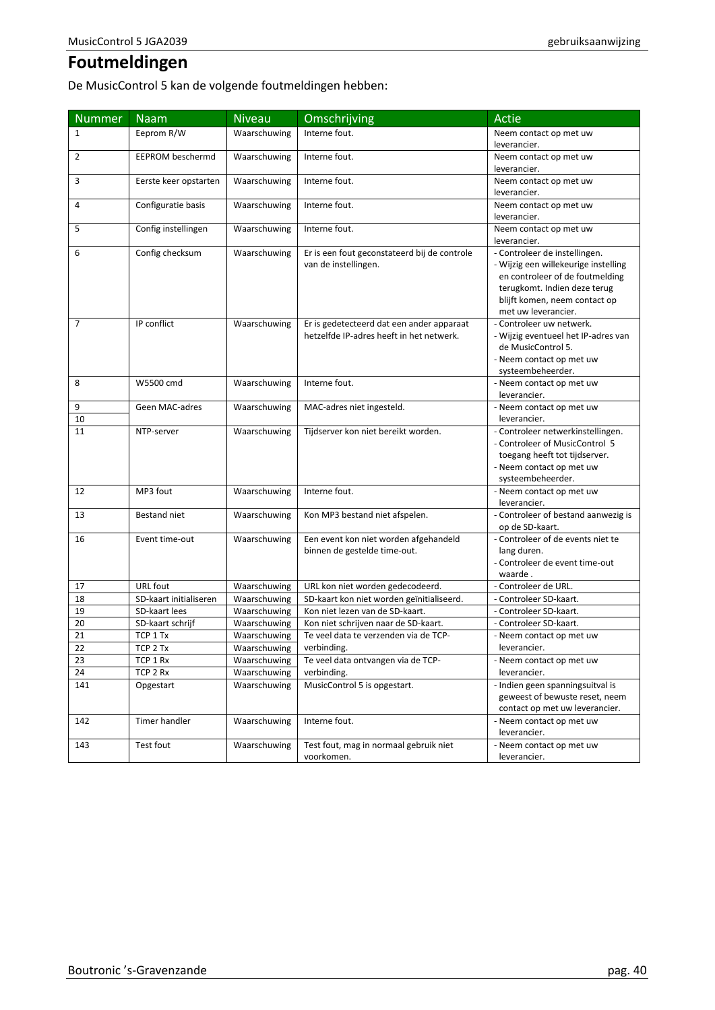# <span id="page-39-0"></span>**Foutmeldingen**

De MusicControl 5 kan de volgende foutmeldingen hebben:

| <b>Nummer</b>  | $Na\overline{am}$       | <b>Niveau</b> | Omschrijving                                                                          | Actie                                                                                                                                                                                            |
|----------------|-------------------------|---------------|---------------------------------------------------------------------------------------|--------------------------------------------------------------------------------------------------------------------------------------------------------------------------------------------------|
| $\mathbf{1}$   | Eeprom R/W              | Waarschuwing  | Interne fout.                                                                         | Neem contact op met uw<br>leverancier.                                                                                                                                                           |
| 2              | <b>EEPROM beschermd</b> | Waarschuwing  | Interne fout.                                                                         | Neem contact op met uw<br>leverancier.                                                                                                                                                           |
| 3              | Eerste keer opstarten   | Waarschuwing  | Interne fout.                                                                         | Neem contact op met uw<br>leverancier.                                                                                                                                                           |
| 4              | Configuratie basis      | Waarschuwing  | Interne fout.                                                                         | Neem contact op met uw<br>leverancier.                                                                                                                                                           |
| 5              | Config instellingen     | Waarschuwing  | Interne fout.                                                                         | Neem contact op met uw<br>leverancier.                                                                                                                                                           |
| 6              | Config checksum         | Waarschuwing  | Er is een fout geconstateerd bij de controle<br>van de instellingen.                  | - Controleer de instellingen.<br>- Wijzig een willekeurige instelling<br>en controleer of de foutmelding<br>terugkomt. Indien deze terug<br>blijft komen, neem contact op<br>met uw leverancier. |
| $\overline{7}$ | IP conflict             | Waarschuwing  | Er is gedetecteerd dat een ander apparaat<br>hetzelfde IP-adres heeft in het netwerk. | - Controleer uw netwerk.<br>- Wijzig eventueel het IP-adres van<br>de MusicControl 5.<br>- Neem contact op met uw<br>systeembeheerder.                                                           |
| 8              | W5500 cmd               | Waarschuwing  | Interne fout.                                                                         | - Neem contact op met uw<br>leverancier.                                                                                                                                                         |
| 9<br>10        | Geen MAC-adres          | Waarschuwing  | MAC-adres niet ingesteld.                                                             | - Neem contact op met uw<br>leverancier.                                                                                                                                                         |
| 11             | NTP-server              | Waarschuwing  | Tijdserver kon niet bereikt worden.                                                   | - Controleer netwerkinstellingen.<br>- Controleer of MusicControl 5<br>toegang heeft tot tijdserver.<br>- Neem contact op met uw<br>systeembeheerder.                                            |
| 12             | MP3 fout                | Waarschuwing  | Interne fout.                                                                         | - Neem contact op met uw<br>leverancier.                                                                                                                                                         |
| 13             | Bestand niet            | Waarschuwing  | Kon MP3 bestand niet afspelen.                                                        | - Controleer of bestand aanwezig is<br>op de SD-kaart.                                                                                                                                           |
| 16             | Event time-out          | Waarschuwing  | Een event kon niet worden afgehandeld<br>binnen de gestelde time-out.                 | - Controleer of de events niet te<br>lang duren.<br>- Controleer de event time-out<br>waarde.                                                                                                    |
| 17             | URL fout                | Waarschuwing  | URL kon niet worden gedecodeerd.                                                      | - Controleer de URL.                                                                                                                                                                             |
| 18             | SD-kaart initialiseren  | Waarschuwing  | SD-kaart kon niet worden geïnitialiseerd.                                             | - Controleer SD-kaart.                                                                                                                                                                           |
| 19             | SD-kaart lees           | Waarschuwing  | Kon niet lezen van de SD-kaart.                                                       | - Controleer SD-kaart.                                                                                                                                                                           |
| 20             | SD-kaart schrijf        | Waarschuwing  | Kon niet schrijven naar de SD-kaart.                                                  | - Controleer SD-kaart.                                                                                                                                                                           |
| 21             | TCP 1 Tx                | Waarschuwing  | Te veel data te verzenden via de TCP-                                                 | - Neem contact op met uw                                                                                                                                                                         |
| 22             | TCP 2 Tx                | Waarschuwing  | verbinding.                                                                           | leverancier.                                                                                                                                                                                     |
| 23             | TCP 1 Rx                | Waarschuwing  | Te veel data ontvangen via de TCP-                                                    | - Neem contact op met uw                                                                                                                                                                         |
| 24             | TCP 2 Rx                | Waarschuwing  | verbinding.                                                                           | leverancier.                                                                                                                                                                                     |
| 141            | Opgestart               | Waarschuwing  | MusicControl 5 is opgestart.                                                          | - Indien geen spanningsuitval is<br>geweest of bewuste reset, neem<br>contact op met uw leverancier.                                                                                             |
| 142            | Timer handler           | Waarschuwing  | Interne fout.                                                                         | - Neem contact op met uw<br>leverancier.                                                                                                                                                         |
| 143            | Test fout               | Waarschuwing  | Test fout, mag in normaal gebruik niet<br>voorkomen.                                  | - Neem contact op met uw<br>leverancier.                                                                                                                                                         |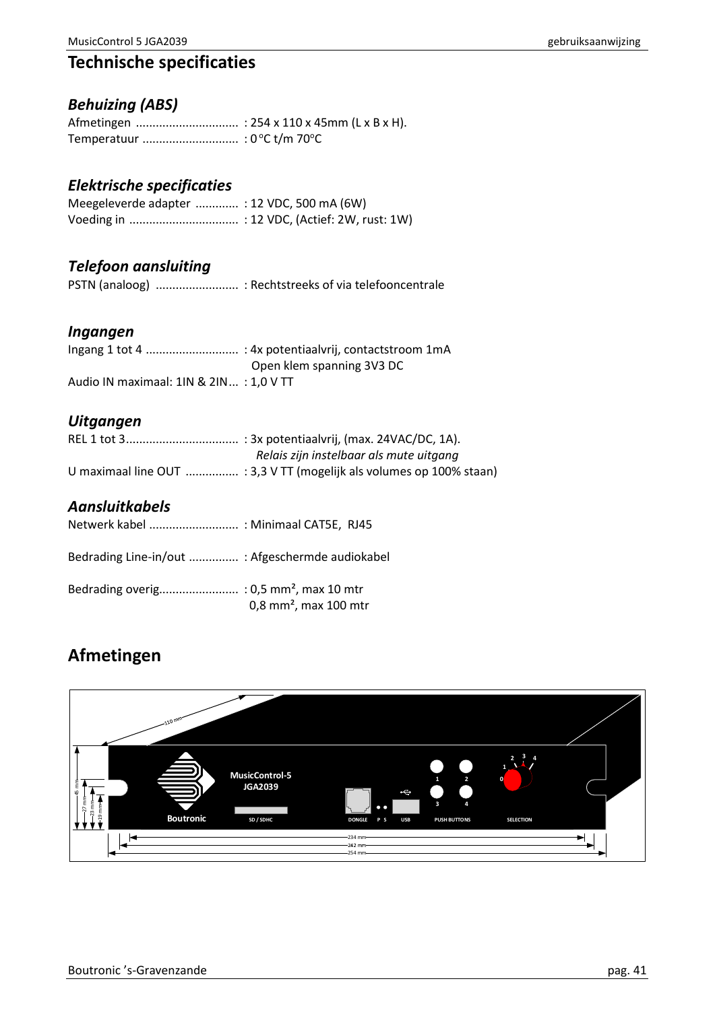# <span id="page-40-0"></span>**Technische specificaties**

# <span id="page-40-1"></span>*Behuizing (ABS)*

## <span id="page-40-2"></span>*Elektrische specificaties*

| Meegeleverde adapter  : 12 VDC, 500 mA (6W) |  |
|---------------------------------------------|--|
|                                             |  |

## <span id="page-40-3"></span>*Telefoon aansluiting*

PSTN (analoog) ......................... : Rechtstreeks of via telefooncentrale

## <span id="page-40-4"></span>*Ingangen*

|                                        | Open klem spanning 3V3 DC |
|----------------------------------------|---------------------------|
| Audio IN maximaal: 1IN & 2IN: 1.0 V TT |                           |

# <span id="page-40-5"></span>*Uitgangen*

| Relais zijn instelbaar als mute uitgang                              |
|----------------------------------------------------------------------|
| U maximaal line OUT  : 3,3 V TT (mogelijk als volumes op 100% staan) |

## <span id="page-40-6"></span>*Aansluitkabels*

| Netwerk kabel  : Minimaal CAT5E, RJ45            |                                     |
|--------------------------------------------------|-------------------------------------|
| Bedrading Line-in/out  : Afgeschermde audiokabel |                                     |
|                                                  | $0.8$ mm <sup>2</sup> , max 100 mtr |

# <span id="page-40-7"></span>**Afmetingen**

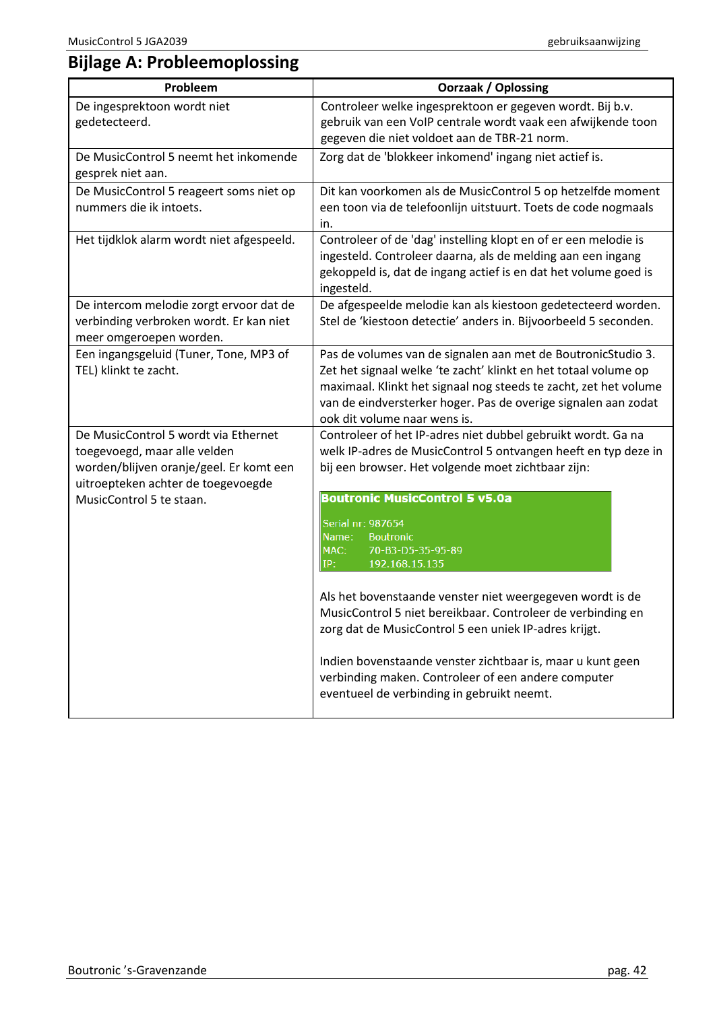# <span id="page-41-0"></span>**Bijlage A: Probleemoplossing**

| Probleem                                                                                                                                                                          | <b>Oorzaak / Oplossing</b>                                                                                                                                                                                                                                                                                                                           |  |
|-----------------------------------------------------------------------------------------------------------------------------------------------------------------------------------|------------------------------------------------------------------------------------------------------------------------------------------------------------------------------------------------------------------------------------------------------------------------------------------------------------------------------------------------------|--|
| De ingesprektoon wordt niet<br>gedetecteerd.                                                                                                                                      | Controleer welke ingesprektoon er gegeven wordt. Bij b.v.<br>gebruik van een VoIP centrale wordt vaak een afwijkende toon<br>gegeven die niet voldoet aan de TBR-21 norm.                                                                                                                                                                            |  |
| De MusicControl 5 neemt het inkomende<br>gesprek niet aan.                                                                                                                        | Zorg dat de 'blokkeer inkomend' ingang niet actief is.                                                                                                                                                                                                                                                                                               |  |
| De MusicControl 5 reageert soms niet op<br>nummers die ik intoets.                                                                                                                | Dit kan voorkomen als de MusicControl 5 op hetzelfde moment<br>een toon via de telefoonlijn uitstuurt. Toets de code nogmaals<br>in.                                                                                                                                                                                                                 |  |
| Het tijdklok alarm wordt niet afgespeeld.                                                                                                                                         | Controleer of de 'dag' instelling klopt en of er een melodie is<br>ingesteld. Controleer daarna, als de melding aan een ingang<br>gekoppeld is, dat de ingang actief is en dat het volume goed is<br>ingesteld.                                                                                                                                      |  |
| De intercom melodie zorgt ervoor dat de<br>verbinding verbroken wordt. Er kan niet<br>meer omgeroepen worden.                                                                     | De afgespeelde melodie kan als kiestoon gedetecteerd worden.<br>Stel de 'kiestoon detectie' anders in. Bijvoorbeeld 5 seconden.                                                                                                                                                                                                                      |  |
| Een ingangsgeluid (Tuner, Tone, MP3 of<br>TEL) klinkt te zacht.                                                                                                                   | Pas de volumes van de signalen aan met de BoutronicStudio 3.<br>Zet het signaal welke 'te zacht' klinkt en het totaal volume op<br>maximaal. Klinkt het signaal nog steeds te zacht, zet het volume<br>van de eindversterker hoger. Pas de overige signalen aan zodat<br>ook dit volume naar wens is.                                                |  |
| De MusicControl 5 wordt via Ethernet<br>toegevoegd, maar alle velden<br>worden/blijven oranje/geel. Er komt een<br>uitroepteken achter de toegevoegde<br>MusicControl 5 te staan. | Controleer of het IP-adres niet dubbel gebruikt wordt. Ga na<br>welk IP-adres de MusicControl 5 ontvangen heeft en typ deze in<br>bij een browser. Het volgende moet zichtbaar zijn:<br><b>Boutronic MusicControl 5 v5.0a</b><br>Serial nr: 987654<br>Name:<br><b>Boutronic</b><br>MAC:<br>70-B3-D5-35-95-89<br>192.168.15.135<br>IP:                |  |
|                                                                                                                                                                                   | Als het bovenstaande venster niet weergegeven wordt is de<br>MusicControl 5 niet bereikbaar. Controleer de verbinding en<br>zorg dat de MusicControl 5 een uniek IP-adres krijgt.<br>Indien bovenstaande venster zichtbaar is, maar u kunt geen<br>verbinding maken. Controleer of een andere computer<br>eventueel de verbinding in gebruikt neemt. |  |